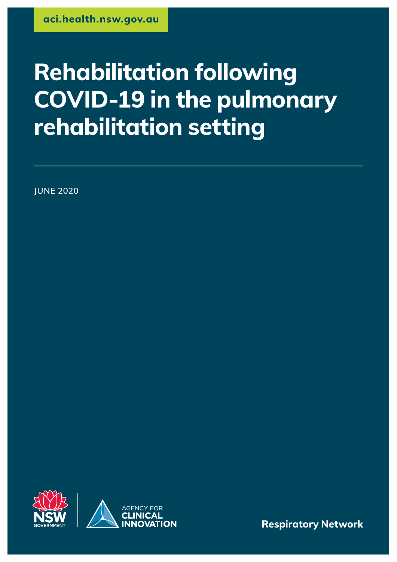# **Rehabilitation following COVID-19 in the pulmonary rehabilitation setting**

**JUNE 2020**



**Respiratory Network**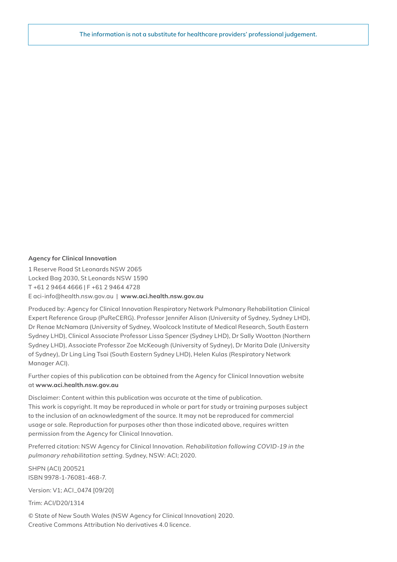#### **Agency for Clinical Innovation**

1 Reserve Road St Leonards NSW 2065 Locked Bag 2030, St Leonards NSW 1590 T +61 2 9464 4666 | F +61 2 9464 4728 E aci‑info@health.nsw.gov.au | **www[.aci.health.nsw.gov.au](https://www.aci.health.nsw.gov.au)**

Produced by: Agency for Clinical Innovation Respiratory Network Pulmonary Rehabilitation Clinical Expert Reference Group (PuReCERG). Professor Jennifer Alison (University of Sydney, Sydney LHD), Dr Renae McNamara (University of Sydney, Woolcock Institute of Medical Research, South Eastern Sydney LHD), Clinical Associate Professor Lissa Spencer (Sydney LHD), Dr Sally Wootton (Northern Sydney LHD), Associate Professor Zoe McKeough (University of Sydney), Dr Marita Dale (University of Sydney), Dr Ling Ling Tsai (South Eastern Sydney LHD), Helen Kulas (Respiratory Network Manager ACI).

Further copies of this publication can be obtained from the Agency for Clinical Innovation website at **www.[aci.health.nsw.gov.au](https://www.aci.health.nsw.gov.au)**

Disclaimer: Content within this publication was accurate at the time of publication. This work is copyright. It may be reproduced in whole or part for study or training purposes subject to the inclusion of an acknowledgment of the source. It may not be reproduced for commercial usage or sale. Reproduction for purposes other than those indicated above, requires written permission from the Agency for Clinical Innovation.

Preferred citation: NSW Agency for Clinical Innovation. *Rehabilitation following COVID-19 in the pulmonary rehabilitation setting*. Sydney, NSW: ACI; 2020.

SHPN (ACI) 200521 ISBN 9978-1-76081-468-7.

Version: V1; ACI\_0474 [09/20]

Trim: ACI/D20/1314

© State of New South Wales (NSW Agency for Clinical Innovation) 2020. Creative Commons Attribution No derivatives 4.0 licence.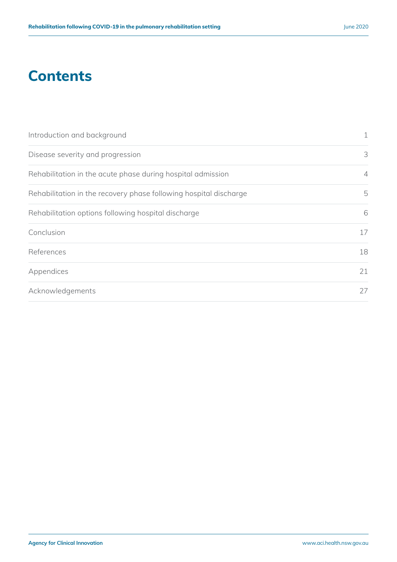### **Contents**

| Introduction and background                                       | $\mathbf 1$    |
|-------------------------------------------------------------------|----------------|
| Disease severity and progression                                  | 3              |
| Rehabilitation in the acute phase during hospital admission       | $\overline{4}$ |
| Rehabilitation in the recovery phase following hospital discharge | 5              |
| Rehabilitation options following hospital discharge               | 6              |
| Conclusion                                                        | 17             |
| References                                                        | 18             |
| Appendices                                                        | 21             |
| Acknowledgements                                                  | 27             |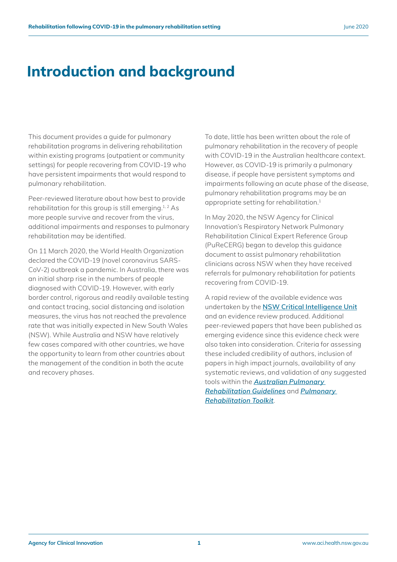### **Introduction and background**

This document provides a guide for pulmonary rehabilitation programs in delivering rehabilitation within existing programs (outpatient or community settings) for people recovering from COVID-19 who have persistent impairments that would respond to pulmonary rehabilitation.

Peer-reviewed literature about how best to provide rehabilitation for this group is still emerging.<sup>1,2</sup> As more people survive and recover from the virus, additional impairments and responses to pulmonary rehabilitation may be identified.

On 11 March 2020, the World Health Organization declared the COVID-19 (novel coronavirus SARS-CoV-2) outbreak a pandemic. In Australia, there was an initial sharp rise in the numbers of people diagnosed with COVID-19. However, with early border control, rigorous and readily available testing and contact tracing, social distancing and isolation measures, the virus has not reached the prevalence rate that was initially expected in New South Wales (NSW). While Australia and NSW have relatively few cases compared with other countries, we have the opportunity to learn from other countries about the management of the condition in both the acute and recovery phases.

To date, little has been written about the role of pulmonary rehabilitation in the recovery of people with COVID-19 in the Australian healthcare context. However, as COVID-19 is primarily a pulmonary disease, if people have persistent symptoms and impairments following an acute phase of the disease, pulmonary rehabilitation programs may be an appropriate setting for rehabilitation.1

In May 2020, the NSW Agency for Clinical Innovation's Respiratory Network Pulmonary Rehabilitation Clinical Expert Reference Group (PuReCERG) began to develop this guidance document to assist pulmonary rehabilitation clinicians across NSW when they have received referrals for pulmonary rehabilitation for patients recovering from COVID-19.

A rapid review of the available evidence was undertaken by the **[NSW Critical Intelligence Unit](https://www.aci.health.nsw.gov.au/covid-19/critical-intelligence-unit?SQ_VARIATION_577136=0)** and an evidence review produced. Additional peer-reviewed papers that have been published as emerging evidence since this evidence check were also taken into consideration. Criteria for assessing these included credibility of authors, inclusion of papers in high impact journals, availability of any systematic reviews, and validation of any suggested tools within the *[Australian Pulmonary](https://lungfoundation.com.au/wp-content/uploads/2018/09/Book-Australia-and-New-Zealand-Pulmonary-Rehabilitation-Guidelines-Feb2017.pdf)  [Rehabilitation Guidelines](https://lungfoundation.com.au/wp-content/uploads/2018/09/Book-Australia-and-New-Zealand-Pulmonary-Rehabilitation-Guidelines-Feb2017.pdf)* and *[Pulmonary](https://pulmonaryrehab.com.au/)  [Rehabilitation Toolkit](https://pulmonaryrehab.com.au/)*.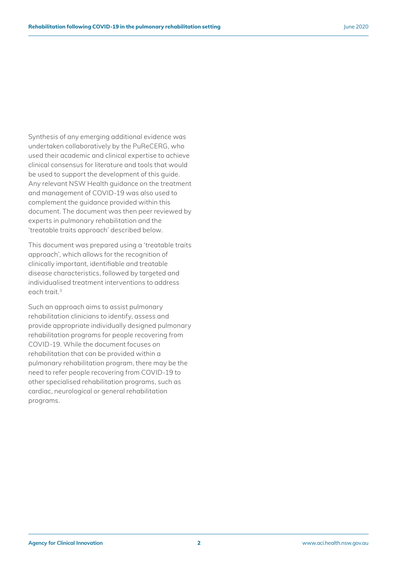Synthesis of any emerging additional evidence was undertaken collaboratively by the PuReCERG, who used their academic and clinical expertise to achieve clinical consensus for literature and tools that would be used to support the development of this guide. Any relevant NSW Health guidance on the treatment and management of COVID-19 was also used to complement the guidance provided within this document. The document was then peer reviewed by experts in pulmonary rehabilitation and the 'treatable traits approach' described below.

This document was prepared using a 'treatable traits approach', which allows for the recognition of clinically important, identifiable and treatable disease characteristics, followed by targeted and individualised treatment interventions to address each trait.3

Such an approach aims to assist pulmonary rehabilitation clinicians to identify, assess and provide appropriate individually designed pulmonary rehabilitation programs for people recovering from COVID-19. While the document focuses on rehabilitation that can be provided within a pulmonary rehabilitation program, there may be the need to refer people recovering from COVID-19 to other specialised rehabilitation programs, such as cardiac, neurological or general rehabilitation programs.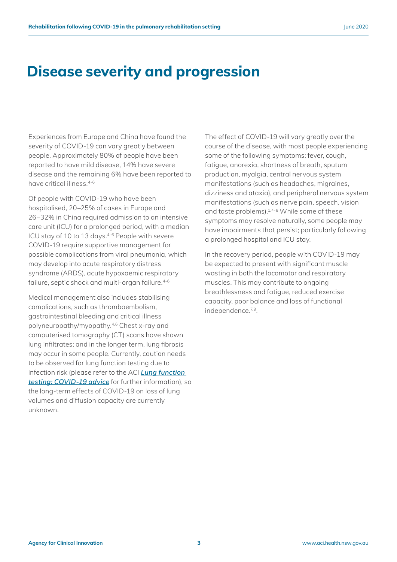### **Disease severity and progression**

Experiences from Europe and China have found the severity of COVID-19 can vary greatly between people. Approximately 80% of people have been reported to have mild disease, 14% have severe disease and the remaining 6% have been reported to have critical illness.4-6

Of people with COVID-19 who have been hospitalised, 20–25% of cases in Europe and 26–32% in China required admission to an intensive care unit (ICU) for a prolonged period, with a median ICU stay of 10 to 13 days.<sup>4-6</sup> People with severe COVID-19 require supportive management for possible complications from viral pneumonia, which may develop into acute respiratory distress syndrome (ARDS), acute hypoxaemic respiratory failure, septic shock and multi-organ failure.<sup>4-6</sup>

Medical management also includes stabilising complications, such as thromboembolism, gastrointestinal bleeding and critical illness polyneuropathy/myopathy.4,6 Chest x-ray and computerised tomography (CT) scans have shown lung infiltrates; and in the longer term, lung fibrosis may occur in some people. Currently, caution needs to be observed for lung function testing due to infection risk (please refer to the ACI *[Lung function](https://www.aci.health.nsw.gov.au/__data/assets/pdf_file/0010/582940/ACI-Aerosol-Generating-Lung-Function-Testing.pdf)  [testing: COVID-19 advice](https://www.aci.health.nsw.gov.au/__data/assets/pdf_file/0010/582940/ACI-Aerosol-Generating-Lung-Function-Testing.pdf)* for further information), so the long-term effects of COVID-19 on loss of lung volumes and diffusion capacity are currently unknown.

The effect of COVID-19 will vary greatly over the course of the disease, with most people experiencing some of the following symptoms: fever, cough, fatigue, anorexia, shortness of breath, sputum production, myalgia, central nervous system manifestations (such as headaches, migraines, dizziness and ataxia), and peripheral nervous system manifestations (such as nerve pain, speech, vision and taste problems).1,4-6 While some of these symptoms may resolve naturally, some people may have impairments that persist; particularly following a prolonged hospital and ICU stay.

In the recovery period, people with COVID-19 may be expected to present with significant muscle wasting in both the locomotor and respiratory muscles. This may contribute to ongoing breathlessness and fatigue, reduced exercise capacity, poor balance and loss of functional independence.7,8.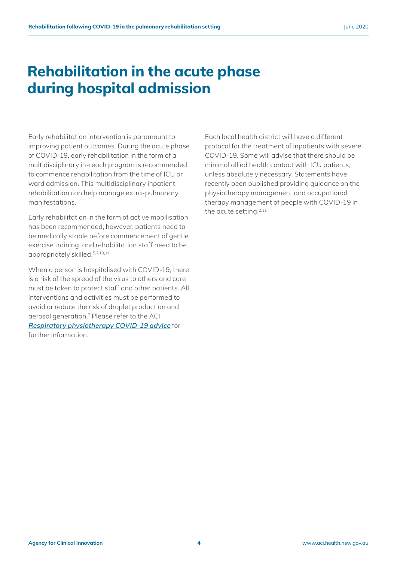### **Rehabilitation in the acute phase during hospital admission**

Early rehabilitation intervention is paramount to improving patient outcomes. During the acute phase of COVID-19, early rehabilitation in the form of a multidisciplinary in-reach program is recommended to commence rehabilitation from the time of ICU or ward admission. This multidisciplinary inpatient rehabilitation can help manage extra-pulmonary manifestations.

Early rehabilitation in the form of active mobilisation has been recommended; however, patients need to be medically stable before commencement of gentle exercise training, and rehabilitation staff need to be appropriately skilled.5,7,10,11

When a person is hospitalised with COVID-19, there is a risk of the spread of the virus to others and care must be taken to protect staff and other patients. All interventions and activities must be performed to avoid or reduce the risk of droplet production and aerosol generation.7 Please refer to the ACI *[Respiratory physiotherapy COVID-19 advice](https://www.aci.health.nsw.gov.au/__data/assets/pdf_file/0010/582823/ACI-RespCOP-Respiratory-physiotherapy-COVID-19-advice.pdf)* for further information.

Each local health district will have a different protocol for the treatment of inpatients with severe COVID-19. Some will advise that there should be minimal allied health contact with ICU patients, unless absolutely necessary. Statements have recently been published providing guidance on the physiotherapy management and occupational therapy management of people with COVID-19 in the acute setting.<sup>2,11</sup>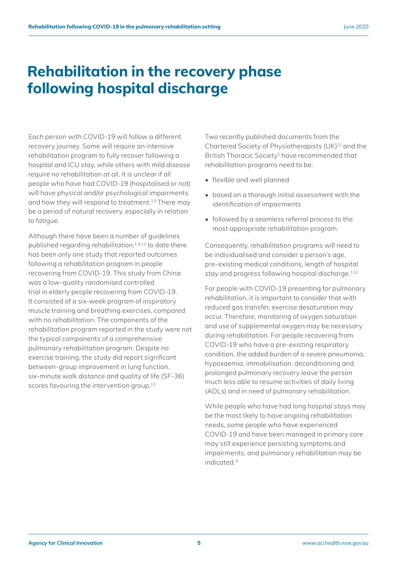### **Rehabilitation in the recovery phase following hospital discharge**

Each person with COVID-19 will follow a different recovery journey. Some will require an intensive rehabilitation program to fully recover following a hospital and ICU stay, while others with mild disease require no rehabilitation at all. It is unclear if all people who have had COVID-19 (hospitalised or not) will have physical and/or psychological impairments and how they will respond to treatment.<sup>1,5</sup> There may be a period of natural recovery, especially in relation to fatigue.

Although there have been a number of guidelines published regarding rehabilitation,<sup>1,9,12</sup> to date there has been only one study that reported outcomes following a rehabilitation program in people recovering from COVID-19. This study from China was a low-quality randomised controlled trial in elderly people recovering from COVID-19. It consisted of a six-week program of inspiratory muscle training and breathing exercises, compared with no rehabilitation. The components of the rehabilitation program reported in the study were not the typical components of a comprehensive pulmonary rehabilitation program. Despite no exercise training, the study did report significant between-group improvement in lung function, six-minute walk distance and quality of life (SF-36) scores favouring the intervention group.<sup>13</sup>

Two recently published documents from the Chartered Society of Physiotherapists (UK)<sup>12</sup> and the British Thoracic Society<sup>1</sup> have recommended that rehabilitation programs need to be:

- flexible and well planned
- based on a thorough initial assessment with the identification of impairments
- followed by a seamless referral process to the most appropriate rehabilitation program.

Consequently, rehabilitation programs will need to be individualised and consider a person's age, pre-existing medical conditions, length of hospital stay and progress following hospital discharge.<sup>1,12</sup>

For people with COVID-19 presenting for pulmonary rehabilitation, it is important to consider that with reduced gas transfer, exercise desaturation may occur. Therefore, monitoring of oxygen saturation and use of supplemental oxygen may be necessary during rehabilitation. For people recovering from COVID-19 who have a pre-existing respiratory condition, the added burden of a severe pneumonia, hypoxaemia, immobilisation, deconditioning and prolonged pulmonary recovery leave the person much less able to resume activities of daily living (ADLs) and in need of pulmonary rehabilitation.

While people who have had long hospital stays may be the most likely to have ongoing rehabilitation needs, some people who have experienced COVID-19 and have been managed in primary care may still experience persisting symptoms and impairments, and pulmonary rehabilitation may be indicated.9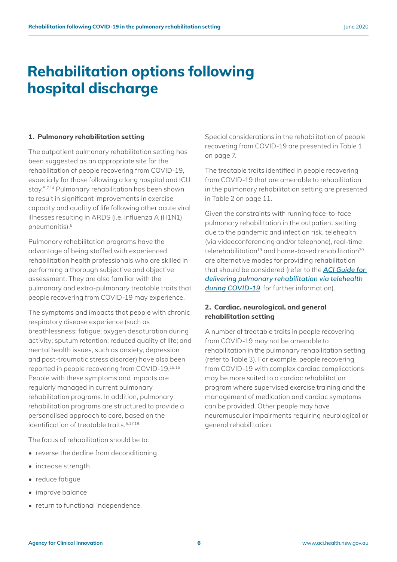### **Rehabilitation options following hospital discharge**

#### **1. Pulmonary rehabilitation setting**

The outpatient pulmonary rehabilitation setting has been suggested as an appropriate site for the rehabilitation of people recovering from COVID-19, especially for those following a long hospital and ICU stay.5,7,14 Pulmonary rehabilitation has been shown to result in significant improvements in exercise capacity and quality of life following other acute viral illnesses resulting in ARDS (i.e. influenza A (H1N1) pneumonitis).5

Pulmonary rehabilitation programs have the advantage of being staffed with experienced rehabilitation health professionals who are skilled in performing a thorough subjective and objective assessment. They are also familiar with the pulmonary and extra-pulmonary treatable traits that people recovering from COVID-19 may experience.

The symptoms and impacts that people with chronic respiratory disease experience (such as breathlessness; fatigue; oxygen desaturation during activity; sputum retention; reduced quality of life; and mental health issues, such as anxiety, depression and post-traumatic stress disorder) have also been reported in people recovering from COVID-19.15,16 People with these symptoms and impacts are regularly managed in current pulmonary rehabilitation programs. In addition, pulmonary rehabilitation programs are structured to provide a personalised approach to care, based on the identification of treatable traits.<sup>5,17,18</sup>

The focus of rehabilitation should be to:

- reverse the decline from deconditioning
- increase strength
- reduce fatigue
- improve balance
- return to functional independence.

Special considerations in the rehabilitation of people recovering from COVID-19 are presented in Table 1 on page 7.

The treatable traits identified in people recovering from COVID-19 that are amenable to rehabilitation in the pulmonary rehabilitation setting are presented in Table 2 on page 11.

Given the constraints with running face-to-face pulmonary rehabilitation in the outpatient setting due to the pandemic and infection risk, telehealth (via videoconferencing and/or telephone), real-time telerehabilitation<sup>19</sup> and home-based rehabilitation<sup>20</sup> are alternative modes for providing rehabilitation that should be considered (refer to the *[ACI Guide for](http://ACI Guide for delivering pulmonary rehabilitation via telehealth during COVID-19)  [delivering pulmonary rehabilitation via telehealth](http://ACI Guide for delivering pulmonary rehabilitation via telehealth during COVID-19)  [during COVID-19](http://ACI Guide for delivering pulmonary rehabilitation via telehealth during COVID-19)* for further information).

#### **2. Cardiac, neurological, and general rehabilitation setting**

A number of treatable traits in people recovering from COVID-19 may not be amenable to rehabilitation in the pulmonary rehabilitation setting (refer to Table 3). For example, people recovering from COVID-19 with complex cardiac complications may be more suited to a cardiac rehabilitation program where supervised exercise training and the management of medication and cardiac symptoms can be provided. Other people may have neuromuscular impairments requiring neurological or general rehabilitation.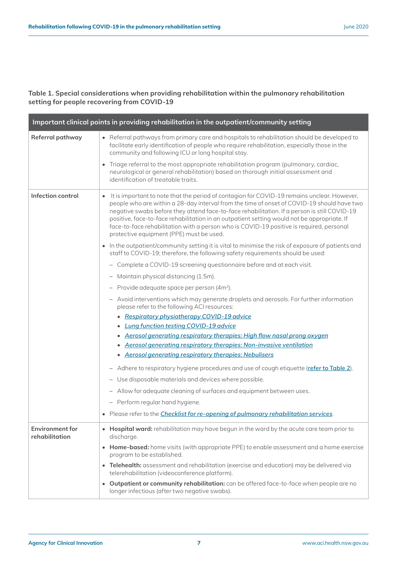#### **Table 1. Special considerations when providing rehabilitation within the pulmonary rehabilitation setting for people recovering from COVID-19**

|                                          | Important clinical points in providing rehabilitation in the outpatient/community setting                                                                                                                                                                                                                                                                                                                                                                                                                                        |
|------------------------------------------|----------------------------------------------------------------------------------------------------------------------------------------------------------------------------------------------------------------------------------------------------------------------------------------------------------------------------------------------------------------------------------------------------------------------------------------------------------------------------------------------------------------------------------|
| Referral pathway                         | Referral pathways from primary care and hospitals to rehabilitation should be developed to<br>facilitate early identification of people who require rehabilitation, especially those in the<br>community and following ICU or long hospital stay.                                                                                                                                                                                                                                                                                |
|                                          | Triage referral to the most appropriate rehabilitation program (pulmonary, cardiac,<br>$\bullet$<br>neurological or general rehabilitation) based on thorough initial assessment and<br>identification of treatable traits.                                                                                                                                                                                                                                                                                                      |
| Infection control                        | It is important to note that the period of contagion for COVID-19 remains unclear. However,<br>people who are within a 28-day interval from the time of onset of COVID-19 should have two<br>negative swabs before they attend face-to-face rehabilitation. If a person is still COVID-19<br>positive, face-to-face rehabilitation in an outpatient setting would not be appropriate. If<br>face-to-face rehabilitation with a person who is COVID-19 positive is required, personal<br>protective equipment (PPE) must be used. |
|                                          | In the outpatient/community setting it is vital to minimise the risk of exposure of patients and<br>staff to COVID-19; therefore, the following safety requirements should be used:                                                                                                                                                                                                                                                                                                                                              |
|                                          | Complete a COVID-19 screening questionnaire before and at each visit.                                                                                                                                                                                                                                                                                                                                                                                                                                                            |
|                                          | Maintain physical distancing (1.5m).                                                                                                                                                                                                                                                                                                                                                                                                                                                                                             |
|                                          | - Provide adequate space per person $(4m^2)$ .                                                                                                                                                                                                                                                                                                                                                                                                                                                                                   |
|                                          | - Avoid interventions which may generate droplets and aerosols. For further information<br>please refer to the following ACI resources:                                                                                                                                                                                                                                                                                                                                                                                          |
|                                          | • Respiratory physiotherapy COVID-19 advice                                                                                                                                                                                                                                                                                                                                                                                                                                                                                      |
|                                          | <b>Lung function testing COVID-19 advice</b>                                                                                                                                                                                                                                                                                                                                                                                                                                                                                     |
|                                          | • Aerosol generating respiratory therapies: High flow nasal prong oxygen<br>• Aerosol generating respiratory therapies: Non-invasive ventilation                                                                                                                                                                                                                                                                                                                                                                                 |
|                                          | • Aerosol generating respiratory therapies: Nebulisers                                                                                                                                                                                                                                                                                                                                                                                                                                                                           |
|                                          | - Adhere to respiratory hygiene procedures and use of cough etiquette (refer to Table 2).                                                                                                                                                                                                                                                                                                                                                                                                                                        |
|                                          | - Use disposable materials and devices where possible.                                                                                                                                                                                                                                                                                                                                                                                                                                                                           |
|                                          | - Allow for adequate cleaning of surfaces and equipment between uses.                                                                                                                                                                                                                                                                                                                                                                                                                                                            |
|                                          | - Perform regular hand hygiene.                                                                                                                                                                                                                                                                                                                                                                                                                                                                                                  |
|                                          | Please refer to the <i>Checklist for re-opening of pulmonary rehabilitation services</i> .                                                                                                                                                                                                                                                                                                                                                                                                                                       |
| <b>Environment for</b><br>rehabilitation | • Hospital ward: rehabilitation may have begun in the ward by the acute care team prior to<br>discharge.                                                                                                                                                                                                                                                                                                                                                                                                                         |
|                                          | <b>Home-based:</b> home visits (with appropriate PPE) to enable assessment and a home exercise<br>$\bullet$<br>program to be established.                                                                                                                                                                                                                                                                                                                                                                                        |
|                                          | Telehealth: assessment and rehabilitation (exercise and education) may be delivered via<br>telerehabilitation (videoconference platform).                                                                                                                                                                                                                                                                                                                                                                                        |
|                                          | Outpatient or community rehabilitation: can be offered face-to-face when people are no<br>$\bullet$<br>longer infectious (after two negative swabs).                                                                                                                                                                                                                                                                                                                                                                             |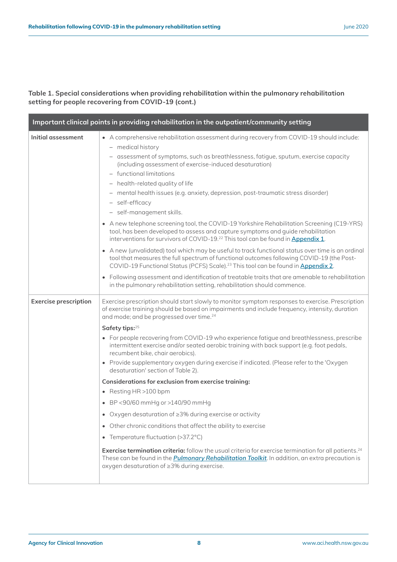#### **Table 1. Special considerations when providing rehabilitation within the pulmonary rehabilitation setting for people recovering from COVID-19 (cont.)**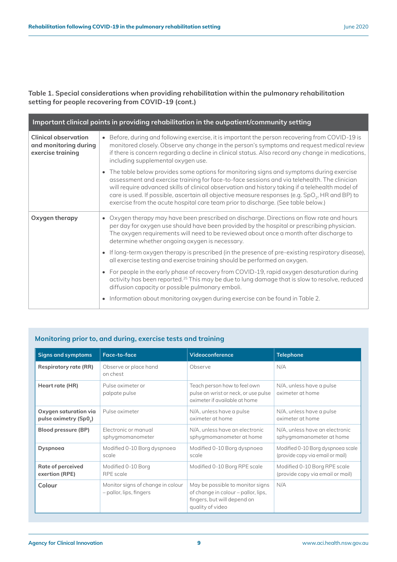#### **Table 1. Special considerations when providing rehabilitation within the pulmonary rehabilitation setting for people recovering from COVID-19 (cont.)**

| Important clinical points in providing rehabilitation in the outpatient/community setting |                                                                                                                                                                                                                                                                                                                                                                                                                                                                                                 |  |  |
|-------------------------------------------------------------------------------------------|-------------------------------------------------------------------------------------------------------------------------------------------------------------------------------------------------------------------------------------------------------------------------------------------------------------------------------------------------------------------------------------------------------------------------------------------------------------------------------------------------|--|--|
| <b>Clinical observation</b><br>and monitoring during<br>exercise training                 | Before, during and following exercise, it is important the person recovering from COVID-19 is<br>monitored closely. Observe any change in the person's symptoms and request medical review<br>if there is concern regarding a decline in clinical status. Also record any change in medications,<br>including supplemental oxygen use.                                                                                                                                                          |  |  |
|                                                                                           | The table below provides some options for monitoring signs and symptoms during exercise<br>assessment and exercise training for face-to-face sessions and via telehealth. The clinician<br>will require advanced skills of clinical observation and history taking if a telehealth model of<br>care is used. If possible, ascertain all objective measure responses (e.g. SpO <sub>2</sub> , HR and BP) to<br>exercise from the acute hospital care team prior to discharge. (See table below.) |  |  |
| Oxygen therapy                                                                            | Oxygen therapy may have been prescribed on discharge. Directions on flow rate and hours<br>$\bullet$<br>per day for oxygen use should have been provided by the hospital or prescribing physician.<br>The oxygen requirements will need to be reviewed about once a month after discharge to<br>determine whether ongoing oxygen is necessary.                                                                                                                                                  |  |  |
|                                                                                           | If long-term oxygen therapy is prescribed (in the presence of pre-existing respiratory disease),<br>all exercise testing and exercise training should be performed on oxygen.                                                                                                                                                                                                                                                                                                                   |  |  |
|                                                                                           | For people in the early phase of recovery from COVID-19, rapid oxygen desaturation during<br>activity has been reported. <sup>25</sup> This may be due to lung damage that is slow to resolve, reduced<br>diffusion capacity or possible pulmonary emboli.                                                                                                                                                                                                                                      |  |  |
|                                                                                           | Information about monitoring oxygen during exercise can be found in Table 2.                                                                                                                                                                                                                                                                                                                                                                                                                    |  |  |

### **Monitoring prior to, and during, exercise tests and training**

| <b>Signs and symptoms</b>    | Face-to-face                                                 | Videoconference                                                                                                            | <b>Telephone</b>                             |
|------------------------------|--------------------------------------------------------------|----------------------------------------------------------------------------------------------------------------------------|----------------------------------------------|
| <b>Respiratory rate (RR)</b> | Observe or place hand<br>on chest                            | Observe                                                                                                                    | N/A                                          |
| Heart rate (HR)              | Pulse oximeter or<br>palpate pulse                           | Teach person how to feel own<br>pulse on wrist or neck, or use pulse<br>oximeter if available at home                      | N/A, unless have a pulse<br>oximeter at home |
| Oxygen saturation via        | Pulse oximeter                                               | N/A, unless have a pulse                                                                                                   | N/A, unless have a pulse                     |
| pulse oximetry (Sp02)        |                                                              | oximeter at home                                                                                                           | oximeter at home                             |
| Blood pressure (BP)          | Electronic or manual                                         | N/A, unless have an electronic                                                                                             | N/A, unless have an electronic               |
|                              | sphygmomanometer                                             | sphygmomanometer at home                                                                                                   | sphygmomanometer at home                     |
| Dyspnoea                     | Modified 0-10 Borg dyspnoea                                  | Modified 0-10 Borg dyspnoeg                                                                                                | Modified 0-10 Borg dyspnoea scale            |
|                              | scale                                                        | scale                                                                                                                      | (provide copy via email or mail)             |
| Rate of perceived            | Modified 0-10 Borg                                           | Modified 0-10 Borg RPE scale                                                                                               | Modified 0-10 Borg RPE scale                 |
| exertion (RPE)               | RPE scale                                                    |                                                                                                                            | (provide copy via email or mail)             |
| Colour                       | Monitor signs of change in colour<br>- pallor, lips, fingers | May be possible to monitor signs<br>of change in colour - pallor, lips,<br>fingers, but will depend on<br>quality of video | N/A                                          |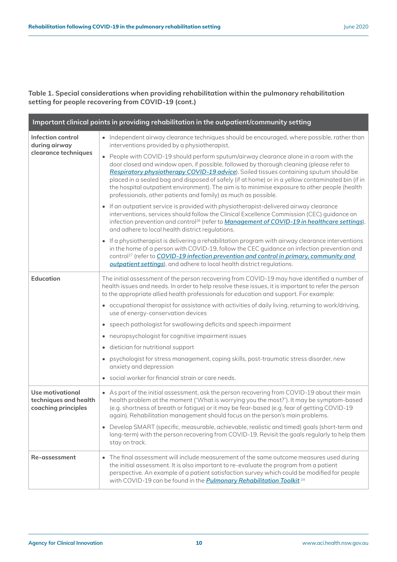### **Table 1. Special considerations when providing rehabilitation within the pulmonary rehabilitation setting for people recovering from COVID-19 (cont.)**

| Important clinical points in providing rehabilitation in the outpatient/community setting |                                                                                                                                                                                                                                                                                                                                                                                                                                                                                                                                                                 |  |  |  |
|-------------------------------------------------------------------------------------------|-----------------------------------------------------------------------------------------------------------------------------------------------------------------------------------------------------------------------------------------------------------------------------------------------------------------------------------------------------------------------------------------------------------------------------------------------------------------------------------------------------------------------------------------------------------------|--|--|--|
| Infection control<br>during airway                                                        | • Independent airway clearance techniques should be encouraged, where possible, rather than<br>interventions provided by a physiotherapist.                                                                                                                                                                                                                                                                                                                                                                                                                     |  |  |  |
| clearance techniques                                                                      | People with COVID-19 should perform sputum/airway clearance alone in a room with the<br>$\bullet$<br>door closed and window open, if possible, followed by thorough cleaning (please refer to<br>Respiratory physiotherapy COVID-19 advice). Soiled tissues containing sputum should be<br>placed in a sealed bag and disposed of safely (if at home) or in a yellow contaminated bin (if in<br>the hospital outpatient environment). The aim is to minimise exposure to other people (health<br>professionals, other patients and family) as much as possible. |  |  |  |
|                                                                                           | • If an outpatient service is provided with physiotherapist-delivered airway clearance<br>interventions, services should follow the Clinical Excellence Commission (CEC) guidance on<br>infection prevention and control <sup>26</sup> (refer to <b>Management of COVID-19 in healthcare settings</b> ),<br>and adhere to local health district regulations.                                                                                                                                                                                                    |  |  |  |
|                                                                                           | If a physiotherapist is delivering a rehabilitation program with airway clearance interventions<br>in the home of a person with COVID-19, follow the CEC guidance on infection prevention and<br>control <sup>27</sup> (refer to COVID-19 infection prevention and control in primary, community and<br>outpatient settings), and adhere to local health district regulations.                                                                                                                                                                                  |  |  |  |
| <b>Education</b>                                                                          | The initial assessment of the person recovering from COVID-19 may have identified a number of<br>health issues and needs. In order to help resolve these issues, it is important to refer the person<br>to the appropriate allied health professionals for education and support. For example:                                                                                                                                                                                                                                                                  |  |  |  |
|                                                                                           | • occupational therapist for assistance with activities of daily living, returning to work/driving,<br>use of energy-conservation devices                                                                                                                                                                                                                                                                                                                                                                                                                       |  |  |  |
|                                                                                           | speech pathologist for swallowing deficits and speech impairment                                                                                                                                                                                                                                                                                                                                                                                                                                                                                                |  |  |  |
|                                                                                           | neuropsychologist for cognitive impairment issues<br>$\bullet$                                                                                                                                                                                                                                                                                                                                                                                                                                                                                                  |  |  |  |
|                                                                                           | dietician for nutritional support<br>$\bullet$                                                                                                                                                                                                                                                                                                                                                                                                                                                                                                                  |  |  |  |
|                                                                                           | psychologist for stress management, coping skills, post-traumatic stress disorder, new<br>anxiety and depression                                                                                                                                                                                                                                                                                                                                                                                                                                                |  |  |  |
|                                                                                           | social worker for financial strain or care needs.                                                                                                                                                                                                                                                                                                                                                                                                                                                                                                               |  |  |  |
| <b>Use motivational</b><br>techniques and health<br>coaching principles                   | • As part of the initial assessment, ask the person recovering from COVID-19 about their main<br>health problem at the moment ('What is worrying you the most?'). It may be symptom-based<br>(e.g. shortness of breath or fatigue) or it may be fear-based (e.g. fear of getting COVID-19<br>again). Rehabilitation management should focus on the person's main problems.                                                                                                                                                                                      |  |  |  |
|                                                                                           | • Develop SMART (specific, measurable, achievable, realistic and timed) goals (short-term and<br>long-term) with the person recovering from COVID-19. Revisit the goals regularly to help them<br>stay on track.                                                                                                                                                                                                                                                                                                                                                |  |  |  |
| Re-assessment                                                                             | The final assessment will include measurement of the same outcome measures used during<br>the initial assessment. It is also important to re-evaluate the program from a patient<br>perspective. An example of a patient satisfaction survey which could be modified for people<br>with COVID-19 can be found in the <i>Pulmonary Rehabilitation Toolkit.</i> <sup>24</sup>                                                                                                                                                                                     |  |  |  |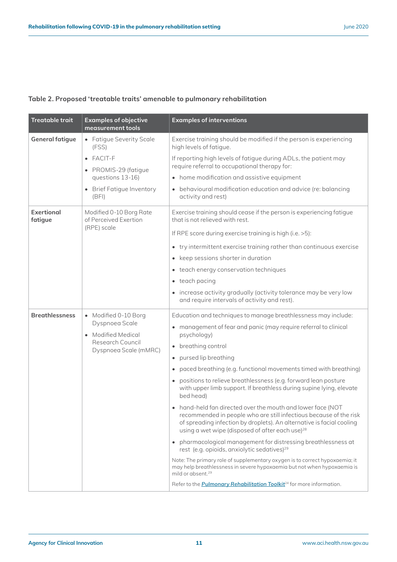<span id="page-13-0"></span>

| <b>Treatable trait</b>                                                    | <b>Examples of objective</b><br>measurement tools                                                                                                    | <b>Examples of interventions</b>                                                                                                                                                                                                                                          |
|---------------------------------------------------------------------------|------------------------------------------------------------------------------------------------------------------------------------------------------|---------------------------------------------------------------------------------------------------------------------------------------------------------------------------------------------------------------------------------------------------------------------------|
| <b>General fatigue</b>                                                    | • Fatigue Severity Scale<br>(FSS)                                                                                                                    | Exercise training should be modified if the person is experiencing<br>high levels of fatigue.                                                                                                                                                                             |
|                                                                           | $\bullet$ FACIT-F<br>• PROMIS-29 (fatigue                                                                                                            | If reporting high levels of fatigue during ADLs, the patient may<br>require referral to occupational therapy for:                                                                                                                                                         |
|                                                                           | questions 13-16)                                                                                                                                     | • home modification and assistive equipment                                                                                                                                                                                                                               |
|                                                                           | • Brief Fatigue Inventory<br>(BFI)                                                                                                                   | • behavioural modification education and advice (re: balancing<br>activity and rest)                                                                                                                                                                                      |
| Exertional<br>Modified 0-10 Borg Rate<br>of Perceived Exertion<br>fatigue | Exercise training should cease if the person is experiencing fatique<br>that is not relieved with rest.                                              |                                                                                                                                                                                                                                                                           |
|                                                                           | (RPE) scale                                                                                                                                          | If RPE score during exercise training is high (i.e. >5):                                                                                                                                                                                                                  |
|                                                                           |                                                                                                                                                      | • try intermittent exercise training rather than continuous exercise                                                                                                                                                                                                      |
|                                                                           |                                                                                                                                                      | • keep sessions shorter in duration                                                                                                                                                                                                                                       |
|                                                                           |                                                                                                                                                      | • teach energy conservation techniques                                                                                                                                                                                                                                    |
|                                                                           |                                                                                                                                                      | • teach pacing                                                                                                                                                                                                                                                            |
|                                                                           |                                                                                                                                                      | • increase activity gradually (activity tolerance may be very low<br>and require intervals of activity and rest).                                                                                                                                                         |
| <b>Breathlessness</b>                                                     | • Modified 0-10 Borg                                                                                                                                 | Education and techniques to manage breathlessness may include:                                                                                                                                                                                                            |
|                                                                           | Dyspnoea Scale<br>• Modified Medical<br>Research Council                                                                                             | • management of fear and panic (may require referral to clinical<br>psychology)                                                                                                                                                                                           |
|                                                                           |                                                                                                                                                      | • breathing control                                                                                                                                                                                                                                                       |
|                                                                           | Dyspnoea Scale (mMRC)                                                                                                                                | • pursed lip breathing                                                                                                                                                                                                                                                    |
|                                                                           |                                                                                                                                                      | • paced breathing (e.g. functional movements timed with breathing)                                                                                                                                                                                                        |
|                                                                           | • positions to relieve breathlessness (e.g. forward lean posture<br>with upper limb support. If breathless during supine lying, elevate<br>bed head) |                                                                                                                                                                                                                                                                           |
|                                                                           |                                                                                                                                                      | • hand-held fan directed over the mouth and lower face (NOT<br>recommended in people who are still infectious because of the risk<br>of spreading infection by droplets). An alternative is facial cooling<br>using a wet wipe (disposed of after each use) <sup>28</sup> |
|                                                                           |                                                                                                                                                      | • pharmacological management for distressing breathlessness at<br>rest (e.g. opioids, anxiolytic sedatives) <sup>29</sup>                                                                                                                                                 |
|                                                                           |                                                                                                                                                      | Note: The primary role of supplementary oxygen is to correct hypoxaemia; it<br>may help breathlessness in severe hypoxaemia but not when hypoxaemia is<br>mild or absent. <sup>29</sup>                                                                                   |
|                                                                           |                                                                                                                                                      | Refer to the <b>Pulmonary Rehabilitation Toolkit</b> <sup>24</sup> for more information.                                                                                                                                                                                  |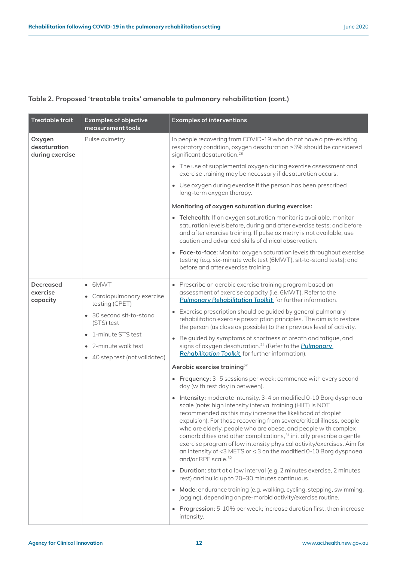| <b>Treatable trait</b>                    | <b>Examples of objective</b><br>measurement tools                                                                                                                               | <b>Examples of interventions</b>                                                                                                                                                                                                                                                                                                                                                                                                                                                                                                                                                                                                                                                                                                                                                                                                                                                                                                                                                                                                                                                                                                                                                                                                                                                                                                                                                                                                                                                                                                                                                                      |
|-------------------------------------------|---------------------------------------------------------------------------------------------------------------------------------------------------------------------------------|-------------------------------------------------------------------------------------------------------------------------------------------------------------------------------------------------------------------------------------------------------------------------------------------------------------------------------------------------------------------------------------------------------------------------------------------------------------------------------------------------------------------------------------------------------------------------------------------------------------------------------------------------------------------------------------------------------------------------------------------------------------------------------------------------------------------------------------------------------------------------------------------------------------------------------------------------------------------------------------------------------------------------------------------------------------------------------------------------------------------------------------------------------------------------------------------------------------------------------------------------------------------------------------------------------------------------------------------------------------------------------------------------------------------------------------------------------------------------------------------------------------------------------------------------------------------------------------------------------|
| Oxygen<br>desaturation<br>during exercise | Pulse oximetry                                                                                                                                                                  | In people recovering from COVID-19 who do not have a pre-existing<br>respiratory condition, oxygen desaturation ≥3% should be considered<br>significant desaturation. <sup>28</sup>                                                                                                                                                                                                                                                                                                                                                                                                                                                                                                                                                                                                                                                                                                                                                                                                                                                                                                                                                                                                                                                                                                                                                                                                                                                                                                                                                                                                                   |
|                                           |                                                                                                                                                                                 | • The use of supplemental oxygen during exercise assessment and<br>exercise training may be necessary if desaturation occurs.                                                                                                                                                                                                                                                                                                                                                                                                                                                                                                                                                                                                                                                                                                                                                                                                                                                                                                                                                                                                                                                                                                                                                                                                                                                                                                                                                                                                                                                                         |
|                                           |                                                                                                                                                                                 | • Use oxygen during exercise if the person has been prescribed<br>long-term oxygen therapy.                                                                                                                                                                                                                                                                                                                                                                                                                                                                                                                                                                                                                                                                                                                                                                                                                                                                                                                                                                                                                                                                                                                                                                                                                                                                                                                                                                                                                                                                                                           |
|                                           |                                                                                                                                                                                 | Monitoring of oxygen saturation during exercise:                                                                                                                                                                                                                                                                                                                                                                                                                                                                                                                                                                                                                                                                                                                                                                                                                                                                                                                                                                                                                                                                                                                                                                                                                                                                                                                                                                                                                                                                                                                                                      |
|                                           |                                                                                                                                                                                 | • Telehealth: If an oxygen saturation monitor is available, monitor<br>saturation levels before, during and after exercise tests; and before<br>and after exercise training. If pulse oximetry is not available, use<br>caution and advanced skills of clinical observation.                                                                                                                                                                                                                                                                                                                                                                                                                                                                                                                                                                                                                                                                                                                                                                                                                                                                                                                                                                                                                                                                                                                                                                                                                                                                                                                          |
|                                           |                                                                                                                                                                                 | • Face-to-face: Monitor oxygen saturation levels throughout exercise<br>testing (e.g. six-minute walk test (6MWT), sit-to-stand tests); and<br>before and after exercise training.                                                                                                                                                                                                                                                                                                                                                                                                                                                                                                                                                                                                                                                                                                                                                                                                                                                                                                                                                                                                                                                                                                                                                                                                                                                                                                                                                                                                                    |
| <b>Decreased</b><br>exercise<br>capacity  | • 6MWT<br>• Cardiopulmonary exercise<br>testing (CPET)<br>• 30 second sit-to-stand<br>(STS) test<br>1-minute STS test<br>• 2-minute walk test<br>• 40 step test (not validated) | • Prescribe an aerobic exercise training program based on<br>assessment of exercise capacity (i.e. 6MWT). Refer to the<br><b>Pulmonary Rehabilitation Toolkit</b> for further information.<br>• Exercise prescription should be guided by general pulmonary<br>rehabilitation exercise prescription principles. The aim is to restore<br>the person (as close as possible) to their previous level of activity.<br>Be guided by symptoms of shortness of breath and fatigue, and<br>signs of oxygen desaturation. <sup>24</sup> (Refer to the <i>Pulmonary</i><br>Rehabilitation Toolkit for further information).<br>Aerobic exercise training <sup>25</sup><br>• Frequency: 3-5 sessions per week; commence with every second<br>day (with rest day in between).<br>• Intensity: moderate intensity, 3-4 on modified 0-10 Borg dyspnoea<br>scale (note: high intensity interval training (HIIT) is NOT<br>recommended as this may increase the likelihood of droplet<br>expulsion). For those recovering from severe/critical illness, people<br>who are elderly, people who are obese, and people with complex<br>comorbidities and other complications, <sup>31</sup> initially prescribe a gentle<br>exercise program of low intensity physical activity/exercises. Aim for<br>an intensity of <3 METS or $\leq$ 3 on the modified 0-10 Borg dyspnoea<br>and/or RPE scale. <sup>32</sup><br>• Duration: start at a low interval (e.g. 2 minutes exercise, 2 minutes<br>rest) and build up to 20-30 minutes continuous.<br>• Mode: endurance training (e.g. walking, cycling, stepping, swimming, |
|                                           |                                                                                                                                                                                 | jogging), depending on pre-morbid activity/exercise routine.<br>• Progression: 5-10% per week; increase duration first, then increase<br>intensity.                                                                                                                                                                                                                                                                                                                                                                                                                                                                                                                                                                                                                                                                                                                                                                                                                                                                                                                                                                                                                                                                                                                                                                                                                                                                                                                                                                                                                                                   |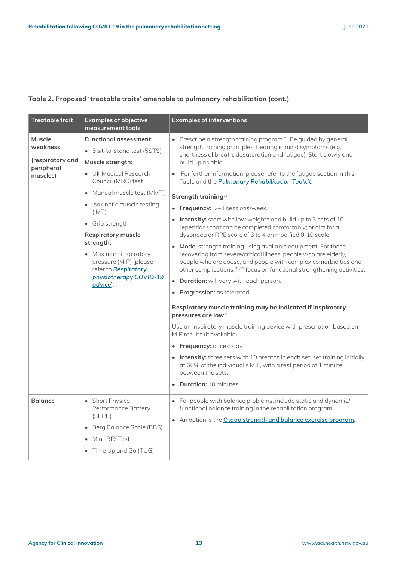| Treatable trait                                                  | <b>Examples of objective</b><br>measurement tools                                                                                                                                                                                                                                                                                                                                    | <b>Examples of interventions</b>                                                                                                                                                                                                                                                                                                                                                                                                                                                                                                                                                                                                                                                                                                                                                                                                                                                                                                                                                                                                                                                                                                                                                                                                                                                                                                                                                                                                                    |
|------------------------------------------------------------------|--------------------------------------------------------------------------------------------------------------------------------------------------------------------------------------------------------------------------------------------------------------------------------------------------------------------------------------------------------------------------------------|-----------------------------------------------------------------------------------------------------------------------------------------------------------------------------------------------------------------------------------------------------------------------------------------------------------------------------------------------------------------------------------------------------------------------------------------------------------------------------------------------------------------------------------------------------------------------------------------------------------------------------------------------------------------------------------------------------------------------------------------------------------------------------------------------------------------------------------------------------------------------------------------------------------------------------------------------------------------------------------------------------------------------------------------------------------------------------------------------------------------------------------------------------------------------------------------------------------------------------------------------------------------------------------------------------------------------------------------------------------------------------------------------------------------------------------------------------|
| Muscle<br>weakness<br>(respiratory and<br>peripheral<br>muscles) | <b>Functional assessment:</b><br>• 5 sit-to-stand test (5STS)<br>Muscle strength:<br>• UK Medical Research<br>Council (MRC) test<br>• Manual muscle test (MMT)<br>• Isokinetic muscle testing<br>(IMT)<br>• Grip strength<br><b>Respiratory muscle</b><br>strength:<br>• Maximum inspiratory<br>pressure (MIP) (please<br>refer to Respiratory<br>physiotherapy COVID-19<br>advice). | • Prescribe a strength training program. <sup>25</sup> Be guided by general<br>strength training principles, bearing in mind symptoms (e.g.<br>shortness of breath, desaturation and fatique). Start slowly and<br>build up as able.<br>• For further information, please refer to the fatigue section in this<br>Table and the <b>Pulmonary Rehabilitation Toolkit</b> .<br>Strength training <sup>25</sup><br>• Frequency: 2-3 sessions/week.<br>• Intensity: start with low weights and build up to 3 sets of 10<br>repetitions that can be completed comfortably; or aim for a<br>dyspnoea or RPE score of 3 to 4 on modified 0-10 scale.<br>• Mode: strength training using available equipment. For those<br>recovering from severe/critical illness, people who are elderly,<br>people who are obese, and people with complex comorbidities and<br>other complications, 31,31 focus on functional strengthening activities.<br>• Duration: will vary with each person.<br>• Progression: as tolerated.<br>Respiratory muscle training may be indicated if inspiratory<br>pressures are low <sup>25</sup><br>Use an inspiratory muscle training device with prescription based on<br>MIP results (if available):<br>• Frequency: once a day.<br>• Intensity: three sets with 10 breaths in each set; set training initially<br>at 60% of the individual's MIP, with a rest period of 1 minute<br>between the sets.<br>• Duration: 10 minutes. |
| <b>Balance</b>                                                   | • Short Physical<br>Performance Battery<br>(SPPB)<br>• Berg Balance Scale (BBS)<br>• Mini-BESTest<br>• Time Up and Go (TUG)                                                                                                                                                                                                                                                          | • For people with balance problems, include static and dynamic/<br>functional balance training in the rehabilitation program.<br>• An option is the Otago strength and balance exercise program.                                                                                                                                                                                                                                                                                                                                                                                                                                                                                                                                                                                                                                                                                                                                                                                                                                                                                                                                                                                                                                                                                                                                                                                                                                                    |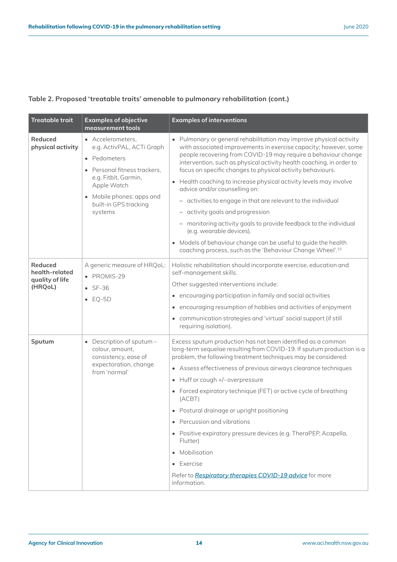| <b>Treatable trait</b>                                         | <b>Examples of objective</b><br>measurement tools                                                                                                                                                    | <b>Examples of interventions</b>                                                                                                                                                                                                                                                                                                                                                                                                                                                                                                                                                                                                                                                                                                                                                                                         |
|----------------------------------------------------------------|------------------------------------------------------------------------------------------------------------------------------------------------------------------------------------------------------|--------------------------------------------------------------------------------------------------------------------------------------------------------------------------------------------------------------------------------------------------------------------------------------------------------------------------------------------------------------------------------------------------------------------------------------------------------------------------------------------------------------------------------------------------------------------------------------------------------------------------------------------------------------------------------------------------------------------------------------------------------------------------------------------------------------------------|
| <b>Reduced</b><br>physical activity                            | • Accelerometers,<br>e.g. ActivPAL, ACTi Graph<br>• Pedometers<br>Personal fitness trackers,<br>e.g. Fitbit, Garmin,<br>Apple Watch<br>• Mobile phones: apps and<br>built-in GPS tracking<br>systems | • Pulmonary or general rehabilitation may improve physical activity<br>with associated improvements in exercise capacity; however, some<br>people recovering from COVID-19 may require a behaviour change<br>intervention, such as physical activity health coaching, in order to<br>focus on specific changes to physical activity behaviours.<br>• Health coaching to increase physical activity levels may involve<br>advice and/or counselling on:<br>- activities to engage in that are relevant to the individual<br>activity goals and progression<br>$\qquad \qquad -$<br>monitoring activity goals to provide feedback to the individual<br>(e.g. wearable devices).<br>• Models of behaviour change can be useful to guide the health<br>coaching process, such as the 'Behaviour Change Wheel'. <sup>33</sup> |
| <b>Reduced</b><br>health-related<br>quality of life<br>(HRQoL) | A generic measure of HRQoL:<br>• PROMIS-29<br>$\bullet$ SF-36<br>$\bullet$ EQ-5D                                                                                                                     | Holistic rehabilitation should incorporate exercise, education and<br>self-management skills.<br>Other suggested interventions include:<br>• encouraging participation in family and social activities<br>• encouraging resumption of hobbies and activities of enjoyment<br>• communication strategies and 'virtual' social support (if still<br>requiring isolation).                                                                                                                                                                                                                                                                                                                                                                                                                                                  |
| Sputum                                                         | • Description of sputum -<br>colour, amount,<br>consistency, ease of<br>expectoration, change<br>from 'normal'                                                                                       | Excess sputum production has not been identified as a common<br>long-term sequelae resulting from COVID-19. If sputum production is a<br>problem, the following treatment techniques may be considered:<br>• Assess effectiveness of previous airways clearance techniques<br>Huff or cough +/- overpressure<br>$\bullet$<br>• Forced expiratory technique (FET) or active cycle of breathing<br>(ACBT)<br>• Postural drainage or upright positioning<br>• Percussion and vibrations<br>• Positive expiratory pressure devices (e.g. TheraPEP, Acapella,<br>Flutter)<br>• Mobilisation<br>• Exercise<br>Refer to Respiratory therapies COVID-19 advice for more<br>information.                                                                                                                                          |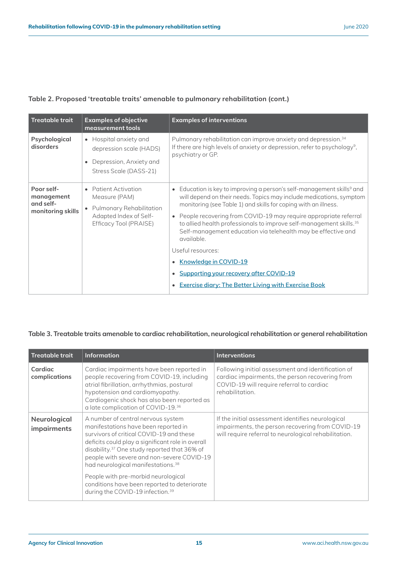| <b>Treatable trait</b>                                     | <b>Examples of objective</b><br>measurement tools                                                                                | <b>Examples of interventions</b>                                                                                                                                                                                                                                                                                                                                                                                                                                                                                                                                                                                             |
|------------------------------------------------------------|----------------------------------------------------------------------------------------------------------------------------------|------------------------------------------------------------------------------------------------------------------------------------------------------------------------------------------------------------------------------------------------------------------------------------------------------------------------------------------------------------------------------------------------------------------------------------------------------------------------------------------------------------------------------------------------------------------------------------------------------------------------------|
| Psychological<br>disorders                                 | • Hospital anxiety and<br>depression scale (HADS)<br>Depression, Anxiety and<br>Stress Scale (DASS-21)                           | Pulmonary rehabilitation can improve anxiety and depression. <sup>34</sup><br>If there are high levels of anxiety or depression, refer to psychology <sup>9</sup> ,<br>psychiatry or GP.                                                                                                                                                                                                                                                                                                                                                                                                                                     |
| Poor self-<br>management<br>and self-<br>monitoring skills | Patient Activation<br>Measure (PAM)<br>Pulmonary Rehabilitation<br>$\bullet$<br>Adapted Index of Self-<br>Efficacy Tool (PRAISE) | • Education is key to improving a person's self-management skills <sup>9</sup> and<br>will depend on their needs. Topics may include medications, symptom<br>monitoring (see Table 1) and skills for coping with an illness.<br>• People recovering from COVID-19 may require appropriate referral<br>to allied health professionals to improve self-management skills. <sup>35</sup><br>Self-management education via telehealth may be effective and<br>available.<br>Useful resources:<br>Knowledge in COVID-19<br>Supporting your recovery after COVID-19<br><b>Exercise diary: The Better Living with Exercise Book</b> |

#### **Table 3. Treatable traits amenable to cardiac rehabilitation, neurological rehabilitation or general rehabilitation**

| <b>Treatable trait</b>      | <b>Information</b>                                                                                                                                                                                                                                                                                                                      | <b>Interventions</b>                                                                                                                                                  |
|-----------------------------|-----------------------------------------------------------------------------------------------------------------------------------------------------------------------------------------------------------------------------------------------------------------------------------------------------------------------------------------|-----------------------------------------------------------------------------------------------------------------------------------------------------------------------|
| Cardiac<br>complications    | Cardiac impairments have been reported in<br>people recovering from COVID-19, including<br>atrial fibrillation, arrhythmias, postural<br>hypotension and cardiomyopathy.<br>Cardiogenic shock has also been reported as<br>a late complication of COVID-19.36                                                                           | Following initial assessment and identification of<br>cardiac impairments, the person recovering from<br>COVID-19 will require referral to cardiac<br>rehabilitation. |
| Neurological<br>impairments | A number of central nervous system<br>manifestations have been reported in<br>survivors of critical COVID-19 and these<br>deficits could play a significant role in overall<br>disability. <sup>37</sup> One study reported that 36% of<br>people with severe and non-severe COVID-19<br>had neurological manifestations. <sup>38</sup> | If the initial assessment identifies neurological<br>impairments, the person recovering from COVID-19<br>will require referral to neurological rehabilitation.        |
|                             | People with pre-morbid neurological<br>conditions have been reported to deteriorate<br>during the COVID-19 infection. <sup>39</sup>                                                                                                                                                                                                     |                                                                                                                                                                       |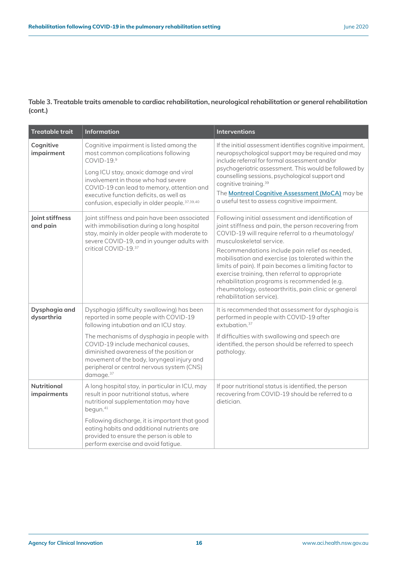**Table 3. Treatable traits amenable to cardiac rehabilitation, neurological rehabilitation or general rehabilitation (cont.)** 

| <b>Treatable trait</b>            | <b>Information</b>                                                                                                                                                                                                                                                                                                                                                                | <b>Interventions</b>                                                                                                                                                                                                                                                                                                                                                                                                                                                                                                                                |
|-----------------------------------|-----------------------------------------------------------------------------------------------------------------------------------------------------------------------------------------------------------------------------------------------------------------------------------------------------------------------------------------------------------------------------------|-----------------------------------------------------------------------------------------------------------------------------------------------------------------------------------------------------------------------------------------------------------------------------------------------------------------------------------------------------------------------------------------------------------------------------------------------------------------------------------------------------------------------------------------------------|
| Cognitive<br>impairment           | Cognitive impairment is listed among the<br>most common complications following<br>COVID-19.9<br>Long ICU stay, anoxic damage and viral<br>involvement in those who had severe<br>COVID-19 can lead to memory, attention and<br>executive function deficits, as well as<br>confusion, especially in older people. 37,39,40                                                        | If the initial assessment identifies cognitive impairment,<br>neuropsychological support may be required and may<br>include referral for formal assessment and/or<br>psychogeriatric assessment. This would be followed by<br>counselling sessions, psychological support and<br>cognitive training. <sup>39</sup><br>The Montreal Cognitive Assessment (MoCA) may be<br>a useful test to assess cognitive impairment.                                                                                                                              |
| Joint stiffness<br>and pain       | Joint stiffness and pain have been associated<br>with immobilisation during a long hospital<br>stay, mainly in older people with moderate to<br>severe COVID-19, and in younger adults with<br>critical COVID-19.37                                                                                                                                                               | Following initial assessment and identification of<br>joint stiffness and pain, the person recovering from<br>COVID-19 will require referral to a rheumatology/<br>musculoskeletal service.<br>Recommendations include pain relief as needed,<br>mobilisation and exercise (as tolerated within the<br>limits of pain). If pain becomes a limiting factor to<br>exercise training, then referral to appropriate<br>rehabilitation programs is recommended (e.g.<br>rheumatology, osteoarthritis, pain clinic or general<br>rehabilitation service). |
| Dysphagia and<br>dysarthria       | Dysphagia (difficulty swallowing) has been<br>reported in some people with COVID-19<br>following intubation and an ICU stay.<br>The mechanisms of dysphagia in people with<br>COVID-19 include mechanical causes,<br>diminished awareness of the position or<br>movement of the body, laryngeal injury and<br>peripheral or central nervous system (CNS)<br>damage. <sup>37</sup> | It is recommended that assessment for dysphagia is<br>performed in people with COVID-19 after<br>extubation. <sup>37</sup><br>If difficulties with swallowing and speech are<br>identified, the person should be referred to speech<br>pathology.                                                                                                                                                                                                                                                                                                   |
| <b>Nutritional</b><br>impairments | A long hospital stay, in particular in ICU, may<br>result in poor nutritional status, where<br>nutritional supplementation may have<br>begun. <sup>41</sup><br>Following discharge, it is important that good<br>eating habits and additional nutrients are<br>provided to ensure the person is able to<br>perform exercise and avoid fatigue.                                    | If poor nutritional status is identified, the person<br>recovering from COVID-19 should be referred to a<br>dietician.                                                                                                                                                                                                                                                                                                                                                                                                                              |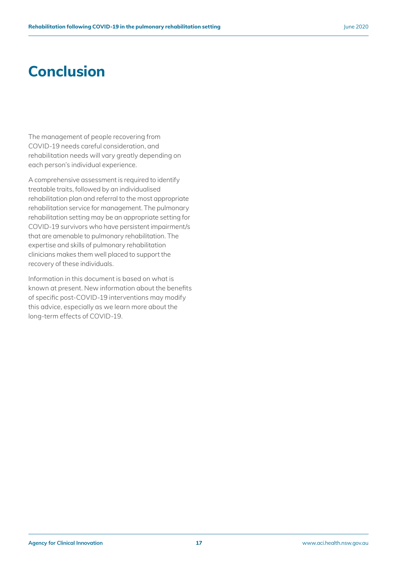## **Conclusion**

The management of people recovering from COVID-19 needs careful consideration, and rehabilitation needs will vary greatly depending on each person's individual experience.

A comprehensive assessment is required to identify treatable traits, followed by an individualised rehabilitation plan and referral to the most appropriate rehabilitation service for management. The pulmonary rehabilitation setting may be an appropriate setting for COVID-19 survivors who have persistent impairment/s that are amenable to pulmonary rehabilitation. The expertise and skills of pulmonary rehabilitation clinicians makes them well placed to support the recovery of these individuals.

Information in this document is based on what is known at present. New information about the benefits of specific post-COVID-19 interventions may modify this advice, especially as we learn more about the long-term effects of COVID-19.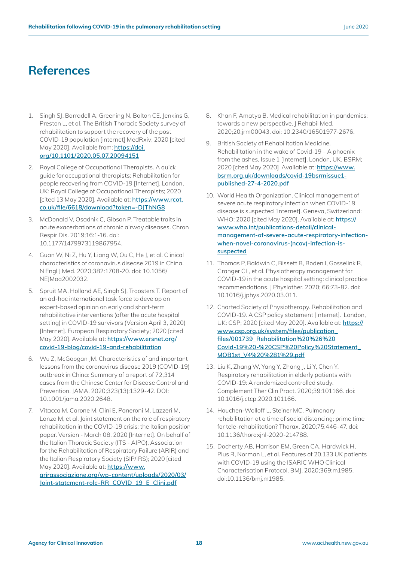### **References**

- 1. Singh SJ, Barradell A, Greening N, Bolton CE, Jenkins G, Preston L, et al. The British Thoracic Society survey of rehabilitation to support the recovery of the post COVID-19 population [internet] MedRxiv; 2020 [cited May 2020]. Available from: **[https://doi.](https://doi.org/10.1101/2020.05.07.20094151) [org/10.1101/2020.05.07.20094151](https://doi.org/10.1101/2020.05.07.20094151)**
- 2. Royal College of Occupational Therapists. A quick guide for occupational therapists: Rehabilitation for people recovering from COVID-19 [Internet]. London, UK: Royal College of Occupational Therapists; 2020 [cited 13 May 2020]. Available at: **[https://www.rcot.](https://www.rcot.co.uk/file/6618/download?token=-DJThNG8) [co.uk/file/6618/download?token=-DJThNG8](https://www.rcot.co.uk/file/6618/download?token=-DJThNG8)**
- 3. McDonald V, Osadnik C, Gibson P. Treatable traits in acute exacerbations of chronic airway diseases. Chron Respir Dis. 2019;16:1-16. doi: 10.1177/1479973119867954.
- 4. Guan W, Ni Z, Hu Y, Liang W, Ou C, He J, et al. Clinical characteristics of coronavirus disease 2019 in China. N Engl J Med. 2020;382:1708-20. doi: 10.1056/ NE|Moa2002032.
- 5. Spruit MA, Holland AE, Singh SJ, Troosters T. Report of an ad-hoc international task force to develop an expert-based opinion on early and short-term rehabilitative interventions (after the acute hospital setting) in COVID-19 survivors (Version April 3, 2020) [Internet]. European Respiratory Society; 2020 [cited May 2020]. Available at: **[https://www.ersnet.org/](https://www.ersnet.org/covid-19-blog/covid-19-and-rehabilitation) [covid-19-blog/covid-19-and-rehabilitation](https://www.ersnet.org/covid-19-blog/covid-19-and-rehabilitation)**
- 6. Wu Z, McGoogan JM. Characteristics of and important lessons from the coronavirus disease 2019 (COVID-19) outbreak in China: Summary of a report of 72,314 cases from the Chinese Center for Disease Control and Prevention. JAMA. 2020;323(13):1329-42. DOI: 10.1001/jama.2020.2648.
- 7. Vitacca M, Carone M, Clini E, Paneroni M, Lazzeri M, Lanza M, et al. Joint statement on the role of respiratory rehabilitation in the COVID-19 crisis: the Italian position paper. Version - March 08, 2020 [Internet]. On behalf of the Italian Thoracic Society (ITS - AIPO), Association for the Rehabilitation of Respiratory Failure (ARIR) and the Italian Respiratory Society (SIP/IRS); 2020 [cited May 2020]. Available at: **[https://www.](https://www.arirassociazione.org/wp-content/uploads/2020/03/Joint-statement-role-RR_COVID_19_E_Clini.pdf) [arirassociazione.org/wp-content/uploads/2020/03/](https://www.arirassociazione.org/wp-content/uploads/2020/03/Joint-statement-role-RR_COVID_19_E_Clini.pdf) [Joint-statement-role-RR\\_COVID\\_19\\_E\\_Clini.pdf](https://www.arirassociazione.org/wp-content/uploads/2020/03/Joint-statement-role-RR_COVID_19_E_Clini.pdf)**
- 8. Khan F, Amatya B. Medical rehabilitation in pandemics: towards a new perspective. J Rehabil Med. 2020;20:jrm00043. doi: 10.2340/16501977-2676.
- 9. British Society of Rehabilitation Medicine. Rehabilitation in the wake of Covid-19 – A phoenix from the ashes, Issue 1 [Internet]. London, UK. BSRM; 2020 [cited May 2020] Available at: **[https://www.](https://www.bsrm.org.uk/downloads/covid-19bsrmissue1-published-27-4-2020.pdf) [bsrm.org.uk/downloads/covid-19bsrmissue1](https://www.bsrm.org.uk/downloads/covid-19bsrmissue1-published-27-4-2020.pdf) [published-27-4-2020.pdf](https://www.bsrm.org.uk/downloads/covid-19bsrmissue1-published-27-4-2020.pdf)**
- 10. World Health Organization. Clinical management of severe acute respiratory infection when COVID-19 disease is suspected [Internet]. Geneva, Switzerland: WHO; 2020 [cited May 2020]. Available at: **[https://](https://www.who.int/publications-detail/clinical-management-of-severe-acute-respiratory-infection-when-novel-coronavirus-(ncov)-infection-is-suspected) [www.who.int/publications-detail/clinical](https://www.who.int/publications-detail/clinical-management-of-severe-acute-respiratory-infection-when-novel-coronavirus-(ncov)-infection-is-suspected)[management-of-severe-acute-respiratory-infection](https://www.who.int/publications-detail/clinical-management-of-severe-acute-respiratory-infection-when-novel-coronavirus-(ncov)-infection-is-suspected)[when-novel-coronavirus-\(ncov\)-infection-is](https://www.who.int/publications-detail/clinical-management-of-severe-acute-respiratory-infection-when-novel-coronavirus-(ncov)-infection-is-suspected)[suspected](https://www.who.int/publications-detail/clinical-management-of-severe-acute-respiratory-infection-when-novel-coronavirus-(ncov)-infection-is-suspected)**
- 11. Thomas P, Baldwin C, Bissett B, Boden I, Gosselink R, Granger CL, et al. Physiotherapy management for COVID-19 in the acute hospital setting: clinical practice recommendations. J Physiother. 2020; 66:73-82. doi: 10.1016/j.jphys.2020.03.011.
- 12. Charted Society of Physiotherapy. Rehabilitation and COVID-19. A CSP policy statement [Internet]. London, UK: CSP; 2020 [cited May 2020]. Available at: **[https://](https://www.csp.org.uk/system/files/publication_files/001739_Rehabilitation%20%26%20Covid-19%20-%20CSP%20Policy%20Statement_MOB1st_V4%20%281%29.pdf) [www.csp.org.uk/system/files/publication\\_](https://www.csp.org.uk/system/files/publication_files/001739_Rehabilitation%20%26%20Covid-19%20-%20CSP%20Policy%20Statement_MOB1st_V4%20%281%29.pdf) [files/001739\\_Rehabilitation%20%26%20](https://www.csp.org.uk/system/files/publication_files/001739_Rehabilitation%20%26%20Covid-19%20-%20CSP%20Policy%20Statement_MOB1st_V4%20%281%29.pdf) [Covid-19%20-%20CSP%20Policy%20Statement\\_](https://www.csp.org.uk/system/files/publication_files/001739_Rehabilitation%20%26%20Covid-19%20-%20CSP%20Policy%20Statement_MOB1st_V4%20%281%29.pdf) [MOB1st\\_V4%20%281%29.pdf](https://www.csp.org.uk/system/files/publication_files/001739_Rehabilitation%20%26%20Covid-19%20-%20CSP%20Policy%20Statement_MOB1st_V4%20%281%29.pdf)**
- 13. Liu K, Zhang W, Yang Y, Zhang J, Li Y, Chen Y. Respiratory rehabilitation in elderly patients with COVID-19: A randomized controlled study. Complement Ther Clin Pract. 2020;39:101166. doi: 10.1016/j.ctcp.2020.101166.
- 14. Houchen-Wolloff L, Steiner MC. Pulmonary rehabilitation at a time of social distancing: prime time for tele-rehabilitation? Thorax. 2020;75:446-47. doi: 10.1136/thoraxjnl-2020-214788.
- 15. Docherty AB, Harrison EM, Green CA, Hardwick H, Pius R, Norman L, et al. Features of 20,133 UK patients with COVID-19 using the ISARIC WHO Clinical Characterisation Protocol. BMJ. 2020;369:m1985. doi:10.1136/bmj.m1985.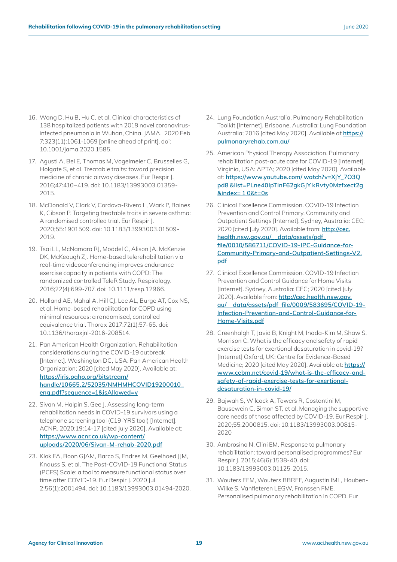- 16. Wang D, Hu B, Hu C, et al. Clinical characteristics of 138 hospitalized patients with 2019 novel coronavirusinfected pneumonia in Wuhan, China. JAMA. 2020 Feb 7;323(11):1061-1069 [online ahead of print]. doi: 10.1001/jama.2020.1585.
- 17. Agusti A, Bel E, Thomas M, Vogelmeier C, Brusselles G, Holgate S, et al. Treatable traits: toward precision medicine of chronic airway diseases. Eur Respir J. 2016;47:410–419. doi: 10.1183/13993003.01359- 2015.
- 18. McDonald V, Clark V, Cordova-Rivera L, Wark P, Baines K, Gibson P. Targeting treatable traits in severe asthma: A randomised controlled trial. Eur Respir J. 2020;55:1901509. doi: 10.1183/13993003.01509- 2019.
- 19. Tsai LL, McNamara RJ, Moddel C, Alison JA, McKenzie DK, McKeough ZJ. Home-based telerehabilitation via real-time videoconferencing improves endurance exercise capacity in patients with COPD: The randomized controlled TeleR Study. Respirology. 2016;22(4):699-707. doi: 10.1111/resp.12966.
- 20. Holland AE, Mahal A, Hill CJ, Lee AL, Burge AT, Cox NS, et al. Home-based rehabilitation for COPD using minimal resources: a randomised, controlled equivalence trial. Thorax 2017;72(1):57-65. doi: 10.1136/thoraxjnl-2016-208514.
- 21. Pan American Health Organization. Rehabilitation considerations during the COVID-19 outbreak [Internet]. Washington DC, USA: Pan American Health Organization; 2020 [cited May 2020]. Available at: **[https://iris.paho.org/bitstream/](https://iris.paho.org/bitstream/handle/10665.2/52035/NMHMHCOVID19200010_eng.pdf?sequence=1&isAllowed=y) [handle/10665.2/52035/NMHMHCOVID19200010\\_](https://iris.paho.org/bitstream/handle/10665.2/52035/NMHMHCOVID19200010_eng.pdf?sequence=1&isAllowed=y) [eng.pdf?sequence=1&isAllowed=y](https://iris.paho.org/bitstream/handle/10665.2/52035/NMHMHCOVID19200010_eng.pdf?sequence=1&isAllowed=y)**
- 22. Sivan M, Halpin S, Gee J. Assessing long-term rehabilitation needs in COVID-19 survivors using a telephone screening tool (C19-YRS tool) [Internet]. ACNR. 2020;19:14-17 [cited July 2020]. Available at: **[https://www.acnr.co.uk/wp-content/](https://www.acnr.co.uk/wp-content/uploads/2020/06/Sivan-M-rehab-2020.pdf) [uploads/2020/06/Sivan-M-rehab-2020.pdf](https://www.acnr.co.uk/wp-content/uploads/2020/06/Sivan-M-rehab-2020.pdf)**
- 23. Klok FA, Boon GJAM, Barco S, Endres M, Geelhoed JJM, Knauss S, et al. The Post-COVID-19 Functional Status (PCFS) Scale: a tool to measure functional status over time after COVID-19. Eur Respir J. 2020 Jul 2;56(1):2001494. doi: 10.1183/13993003.01494-2020.
- 24. Lung Foundation Australia. Pulmonary Rehabilitation Toolkit [Internet]. Brisbane, Australia: Lung Foundation Australia; 2016 [cited May 2020]. Available at **[https://](https://pulmonaryrehab.com.au/) [pulmonaryrehab.com.au/](https://pulmonaryrehab.com.au/)**
- 25. American Physical Therapy Association. Pulmonary rehabilitation post-acute care for COVID-19 [Internet]. Virginia, USA: APTA; 2020 [cited May 2020]. Available at: **[https://www.youtube.com/ watch?v=XjY\\_7O3Q](https://www.youtube.com/watch?v=XjY_7O3Qpd8&list=PLne40IpTInF62gkGJYkRvty0Mzfxect2g&index=10&t=0s
09/01
Accept

Page 21
3

33120792
)  [pd8 &list=PLne40IpTInF62gkGJY kRvty0Mzfxect2g](https://www.youtube.com/watch?v=XjY_7O3Qpd8&list=PLne40IpTInF62gkGJYkRvty0Mzfxect2g&index=10&t=0s
09/01
Accept

Page 21
3

33120792
)  [&index= 1 0&t=0s](https://www.youtube.com/watch?v=XjY_7O3Qpd8&list=PLne40IpTInF62gkGJYkRvty0Mzfxect2g&index=10&t=0s
09/01
Accept

Page 21
3

33120792
)**
- 26. Clinical Excellence Commission. COVID-19 Infection Prevention and Control Primary, Community and Outpatient Settings [Internet]. Sydney, Australia: CEC; 2020 [cited July 2020]. Available from: **[http://cec.](http://cec.health.nsw.gov.au/__data/assets/pdf_file/0010/586711/COVID-19-IPC-Guidance-for-Community-Primary-and-Outpatient-Settings-V2.pdf) [health.nsw.gov.au/\\_\\_data/assets/pdf\\_](http://cec.health.nsw.gov.au/__data/assets/pdf_file/0010/586711/COVID-19-IPC-Guidance-for-Community-Primary-and-Outpatient-Settings-V2.pdf) [file/0010/586711/COVID-19-IPC-Guidance-for-](http://cec.health.nsw.gov.au/__data/assets/pdf_file/0010/586711/COVID-19-IPC-Guidance-for-Community-Primary-and-Outpatient-Settings-V2.pdf)[Community-Primary-and-Outpatient-Settings-V2.](http://cec.health.nsw.gov.au/__data/assets/pdf_file/0010/586711/COVID-19-IPC-Guidance-for-Community-Primary-and-Outpatient-Settings-V2.pdf) [pdf](http://cec.health.nsw.gov.au/__data/assets/pdf_file/0010/586711/COVID-19-IPC-Guidance-for-Community-Primary-and-Outpatient-Settings-V2.pdf)**
- 27. Clinical Excellence Commission. COVID-19 Infection Prevention and Control Guidance for Home Visits [Internet]. Sydney, Australia: CEC; 2020 [cited July 2020]. Available from: **[http://cec.health.nsw.gov.](http://cec.health.nsw.gov.au/__data/assets/pdf_file/0009/583695/COVID-19-Infection-Prevention-and-Control-Guidance-for-Home-Visits.pdf) [au/\\_\\_data/assets/pdf\\_file/0009/583695/COVID-19-](http://cec.health.nsw.gov.au/__data/assets/pdf_file/0009/583695/COVID-19-Infection-Prevention-and-Control-Guidance-for-Home-Visits.pdf) [Infection-Prevention-and-Control-Guidance-for-](http://cec.health.nsw.gov.au/__data/assets/pdf_file/0009/583695/COVID-19-Infection-Prevention-and-Control-Guidance-for-Home-Visits.pdf)[Home-Visits.pdf](http://cec.health.nsw.gov.au/__data/assets/pdf_file/0009/583695/COVID-19-Infection-Prevention-and-Control-Guidance-for-Home-Visits.pdf)**
- 28. Greenhalgh T, Javid B, Knight M, Inada-Kim M, Shaw S, Morrison C. What is the efficacy and safety of rapid exercise tests for exertional desaturation in covid-19? [Internet] Oxford, UK: Centre for Evidence-Based Medicine; 2020 [cited May 2020]. Available at: **[https://](https://www.cebm.net/covid-19/what-is-the-efficacy-and-safety-of-rapid-exercise-tests-for-exertional-desaturation-in-covid-19/) [www.cebm.net/covid-19/what-is-the-efficacy-and](https://www.cebm.net/covid-19/what-is-the-efficacy-and-safety-of-rapid-exercise-tests-for-exertional-desaturation-in-covid-19/)[safety-of-rapid-exercise-tests-for-exertional](https://www.cebm.net/covid-19/what-is-the-efficacy-and-safety-of-rapid-exercise-tests-for-exertional-desaturation-in-covid-19/)[desaturation-in-covid-19/](https://www.cebm.net/covid-19/what-is-the-efficacy-and-safety-of-rapid-exercise-tests-for-exertional-desaturation-in-covid-19/)**
- 29. Bajwah S, Wilcock A, Towers R, Costantini M, Bausewein C, Simon ST, et al. Managing the supportive care needs of those affected by COVID-19. Eur Respir J. 2020;55:2000815. doi: 10.1183/13993003.00815- 2020
- 30. Ambrosino N, Clini EM. Response to pulmonary rehabilitation: toward personalised programmes? Eur Respir J. 2015;46(6):1538-40. doi: 10.1183/13993003.01125-2015.
- 31. Wouters EFM, Wouters BBREF, Augustin IML, Houben-Wilke S, Vanfleteren LEGW, Franssen FME. Personalised pulmonary rehabilitation in COPD. Eur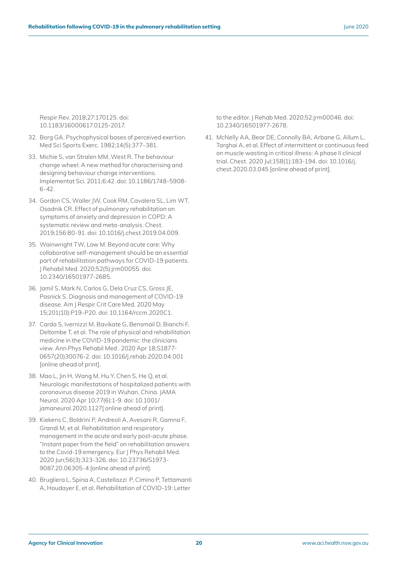Respir Rev. 2018;27:170125. doi: 10.1183/16000617.0125-2017.

- 32. Borg GA. Psychophysical bases of perceived exertion. Med Sci Sports Exerc. 1982;14(5):377–381.
- 33. Michie S, van Stralen MM, West R. The behaviour change wheel: A new method for characterising and designing behaviour change interventions. Implementat Sci. 2011;6:42. doi: 10.1186/1748-5908- 6-42.
- 34. Gordon CS, Waller JW, Cook RM, Cavalera SL, Lim WT, Osadnik CR. Effect of pulmonary rehabilitation on symptoms of anxiety and depression in COPD: A systematic review and meta-analysis. Chest. 2019;156:80-91. doi: 10.1016/j.chest.2019.04.009.
- 35. Wainwright TW, Low M. Beyond acute care: Why collaborative self-management should be an essential part of rehabilitation pathways for COVID-19 patients. J Rehabil Med. 2020;52(5):jrm00055. doi: 10.2340/16501977-2685.
- 36. Jamil S, Mark N, Carlos G, Dela Cruz CS, Gross JE, Pasnick S. Diagnosis and management of COVID-19 disease. Am J Respir Crit Care Med. 2020 May 15;201(10):P19-P20. doi: 10.1164/rccm.2020C1.
- 37. Carda S, Ivernizzi M, Bavikate G, Bensmail D, Bianchi F, Deltombe T, et al. The role of physical and rehabilitation medicine in the COVID-19 pandemic: the clinicians view. Ann Phys Rehabil Med . 2020 Apr 18;S1877- 0657(20)30076-2. doi: 10.1016/j.rehab.2020.04.001 [online ahead of print].
- 38. Mao L, Jin H, Wang M, Hu Y, Chen S, He Q, et al. Neurologic manifestations of hospitalized patients with coronavirus disease 2019 in Wuhan, China. JAMA Neurol. 2020 Apr 10;77(6):1-9. doi: 10.1001/ jamaneurol.2020.1127[ online ahead of print].
- 39. Kiekens C, Boldrini P, Andreoli A, Avesani R, Gamna F, Grandi M, et al. Rehabilitation and respiratory management in the acute and early post-acute phase. "Instant paper from the field" on rehabilitation answers to the Covid-19 emergency. Eur J Phys Rehabil Med. 2020 Jun;56(3):323-326. doi: 10.23736/S1973- 9087.20.06305-4 [online ahead of print].
- 40. Brugliera L, Spina A, Castellazzi P, Cimino P, Tettamanti A, Houdayer E, et al. Rehabilitation of COVID-19: Letter

to the editor. J Rehab Med. 2020;52:jrm00046. doi: 10.2340/16501977-2678.

41. McNelly AA, Bear DE, Connolly BA, Arbane G, Allum L, Targhai A, et al. Effect of intermittent or continuous feed on muscle wasting in critical illness: A phase II clinical trial. Chest. 2020 Jul;158(1):183-194. doi: 10.1016/j. chest.2020.03.045 [online ahead of print].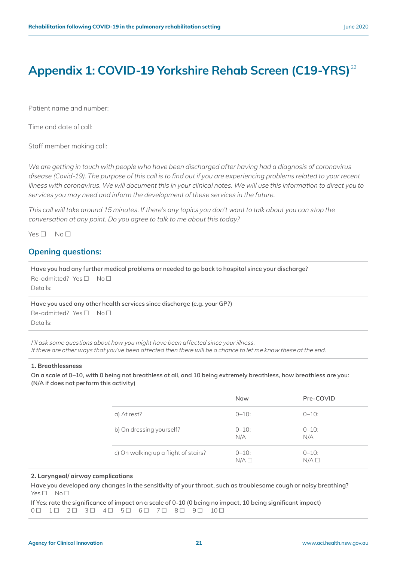### <span id="page-23-0"></span>**Appendix 1: COVID-19 Yorkshire Rehab Screen (C19-YRS)**<sup>22</sup>

Patient name and number:

Time and date of call:

Staff member making call:

*We are getting in touch with people who have been discharged after having had a diagnosis of coronavirus disease (Covid-19). The purpose of this call is to find out if you are experiencing problems related to your recent illness with coronavirus. We will document this in your clinical notes. We will use this information to direct you to services you may need and inform the development of these services in the future.*

*This call will take around 15 minutes. If there's any topics you don't want to talk about you can stop the conversation at any point. Do you agree to talk to me about this today?*

 $Yes \Box No \Box$ 

#### **Opening questions:**

**Have you had any further medical problems or needed to go back to hospital since your discharge?** Re-admitted? Yes  $\Box$  No  $\Box$ Details:

**Have you used any other health services since discharge (e.g. your GP?)**

 $Re$ -admitted? Yes  $\neg$  No  $\neg$ Details:

*I'll ask some questions about how you might have been affected since your illness. If there are other ways that you've been affected then there will be a chance to let me know these at the end.*

#### **1. Breathlessness**

**On a scale of 0–10, with 0 being not breathless at all, and 10 being extremely breathless, how breathless are you: (N/A if does not perform this activity)**

|                                      | <b>Now</b>        | Pre-COVID         |
|--------------------------------------|-------------------|-------------------|
| a) At rest?                          | $0 - 10$ :        | $0 - 10$ :        |
| b) On dressing yourself?             | $0 - 10$ :<br>N/A | $0 - 10$ :<br>N/A |
| c) On walking up a flight of stairs? | $0 - 10$ :<br>N/A | $0 - 10$ :<br>N/A |

#### **2. Laryngeal/ airway complications**

**Have you developed any changes in the sensitivity of your throat, such as troublesome cough or noisy breathing?**   $Yes \Box No \Box$ 

**If Yes: rate the significance of impact on a scale of 0-10 (0 being no impact, 10 being significant impact)**  0 1 2 3 4 5 6 7 8 9 10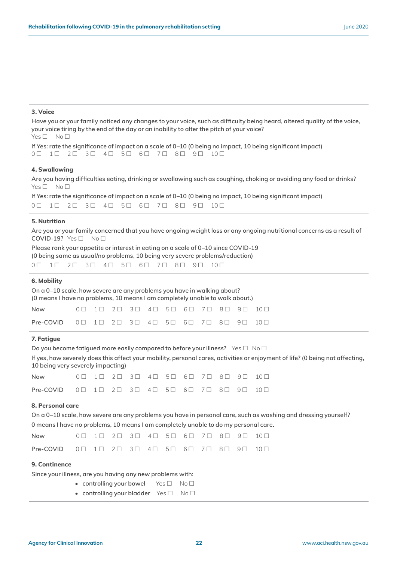#### **3. Voice**

**Have you or your family noticed any changes to your voice, such as difficulty being heard, altered quality of the voice, your voice tiring by the end of the day or an inability to alter the pitch of your voice?**  $Yes \Box No \Box$ 

**If Yes: rate the significance of impact on a scale of 0–10 (0 being no impact, 10 being significant impact)**  0 1 2 3 4 5 6 7 8 9 10

#### **4. Swallowing**

**Are you having difficulties eating, drinking or swallowing such as coughing, choking or avoiding any food or drinks?**  $Yes \Box No \Box$ 

**If Yes: rate the significance of impact on a scale of 0–10 (0 being no impact, 10 being significant impact)**   $0 \square$  1  $1 \square$  2  $1 \square$  3  $1 \square$  4  $1 \square$  5  $1 \square$  6  $1 \square$  7  $1 \square$  8  $1 \square$  10  $1 \square$ 

#### **5. Nutrition**

**Are you or your family concerned that you have ongoing weight loss or any ongoing nutritional concerns as a result of**   $COVID-19?$   $Yes \Box$   $No \Box$ 

**Please rank your appetite or interest in eating on a scale of 0–10 since COVID-19 (0 being same as usual/no problems, 10 being very severe problems/reduction)** 0 1 2 3 4 5 6 7 8 9 10

#### **6. Mobility**

**On a 0–10 scale, how severe are any problems you have in walking about? (0 means I have no problems, 10 means I am completely unable to walk about.)**

| Now                                                                                                                                                   |  |  |  |  |  | $0 \square$ 1 $1 \square$ 2 $1 \square$ 3 $1 \square$ 4 $1 \square$ 5 $1 \square$ 6 $1 \square$ 7 $1 \square$ 8 $1 \square$ 9 $1 \square$ 10 $1 \square$ |
|-------------------------------------------------------------------------------------------------------------------------------------------------------|--|--|--|--|--|----------------------------------------------------------------------------------------------------------------------------------------------------------|
| <b>Pre-COVID</b> $0 \square$ $1 \square$ $2 \square$ $3 \square$ $4 \square$ $5 \square$ $6 \square$ $7 \square$ $8 \square$ $9 \square$ $10 \square$ |  |  |  |  |  |                                                                                                                                                          |

#### **7. Fatigue**

| Do you become fatiqued more easily compared to before your illness? Yes $\Box$ No $\Box$ |  |
|------------------------------------------------------------------------------------------|--|
|------------------------------------------------------------------------------------------|--|

**If yes, how severely does this affect your mobility, personal cares, activities or enjoyment of life? (0 being not affecting, 10 being very severely impacting)**

| Now the second second second second second second second second second second second second second second second second second second second second second second second second second second second second second second seco |  |  |  |  |  | $0 \square$ 1 $1 \square$ 2 $1 \square$ 3 $1 \square$ 5 $1 \square$ 6 $1 \square$ 7 $1 \square$ 9 $1 \square$ 10 $1 \square$ |
|--------------------------------------------------------------------------------------------------------------------------------------------------------------------------------------------------------------------------------|--|--|--|--|--|------------------------------------------------------------------------------------------------------------------------------|
| Pre-COVID $0 \square$ $1 \square$ $2 \square$ $3 \square$ $4 \square$ $5 \square$ $6 \square$ $7 \square$ $8 \square$ $9 \square$ $10 \square$                                                                                 |  |  |  |  |  |                                                                                                                              |

#### **8. Personal care**

**On a 0–10 scale, how severe are any problems you have in personal care, such as washing and dressing yourself? 0 means I have no problems, 10 means I am completely unable to do my personal care.**

| <b>Now</b>                                                                                                                                            |  |  |  |  |  | $0 \square$ 1 $2 \square$ 3 $\square$ 4 $\square$ 5 $\square$ 6 $\square$ 7 $\square$ 8 $\square$ 9 $\square$ 10 $\square$ |
|-------------------------------------------------------------------------------------------------------------------------------------------------------|--|--|--|--|--|----------------------------------------------------------------------------------------------------------------------------|
| <b>Pre-COVID</b> $0 \square$ $1 \square$ $2 \square$ $3 \square$ $4 \square$ $5 \square$ $6 \square$ $7 \square$ $8 \square$ $9 \square$ $10 \square$ |  |  |  |  |  |                                                                                                                            |

#### **9. Continence**

**Since your illness, are you having any new problems with:** 

- **controlling your bowel** Yes  $\Box$  No  $\Box$ 
	- **controlling your bladder** Yes  $\Box$  No  $\Box$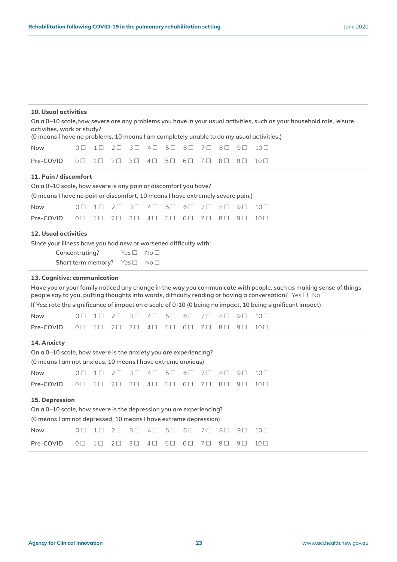#### **10. Usual activities**

| activities, work or study?<br>(0 means I have no problems, 10 means I am completely unable to do my usual activities.)                                                                                                                                                                                                                                                                                                                                                                   |                                                                                                                                                                                                                                                                                                                                                                                                                                                                                                                                                                                                  |          |            |                |            |            |         |                |            |                | On a 0-10 scale, how severe are any problems you have in your usual activities, such as your household role, leisure |
|------------------------------------------------------------------------------------------------------------------------------------------------------------------------------------------------------------------------------------------------------------------------------------------------------------------------------------------------------------------------------------------------------------------------------------------------------------------------------------------|--------------------------------------------------------------------------------------------------------------------------------------------------------------------------------------------------------------------------------------------------------------------------------------------------------------------------------------------------------------------------------------------------------------------------------------------------------------------------------------------------------------------------------------------------------------------------------------------------|----------|------------|----------------|------------|------------|---------|----------------|------------|----------------|----------------------------------------------------------------------------------------------------------------------|
| <b>Now</b>                                                                                                                                                                                                                                                                                                                                                                                                                                                                               | $0\Box$                                                                                                                                                                                                                                                                                                                                                                                                                                                                                                                                                                                          | $1\Box$  | $2\square$ | $3\square$     | $4\square$ | $5\Box$    | $6\Box$ | 7 <sup>0</sup> | $8\square$ | 9 <sub>l</sub> | 10 <sub>0</sub>                                                                                                      |
| Pre-COVID                                                                                                                                                                                                                                                                                                                                                                                                                                                                                | $0\Box$                                                                                                                                                                                                                                                                                                                                                                                                                                                                                                                                                                                          | $1\Box$  | $2\square$ | 3 <sup>1</sup> | $4\Box$    | $5\Box$    | $6\Box$ | 7 <sup>0</sup> | $8\square$ | 9 <sub>1</sub> | $10\Box$                                                                                                             |
| 11. Pain / discomfort<br>On a 0-10 scale, how severe is any pain or discomfort you have?<br>(0 means I have no pain or discomfort, 10 means I have extremely severe pain.)<br><b>Now</b>                                                                                                                                                                                                                                                                                                 | $0\Box$                                                                                                                                                                                                                                                                                                                                                                                                                                                                                                                                                                                          | $1\Box$  | $2\Box$    | $3\Box$        | $4\Box$    | $5\Box$    | $6\Box$ | $7\Box$        | $8\square$ | 9 □            | $10\Box$                                                                                                             |
| Pre-COVID                                                                                                                                                                                                                                                                                                                                                                                                                                                                                | $\overline{O}$ $\overline{O}$                                                                                                                                                                                                                                                                                                                                                                                                                                                                                                                                                                    | $1 \Box$ | $2\square$ | $3\square$     | $4\Box$    | $5\square$ | $6\Box$ | 7 O            | $8\Box$    | 9 <sub>l</sub> | $10\Box$                                                                                                             |
|                                                                                                                                                                                                                                                                                                                                                                                                                                                                                          | <b>12. Usual activities</b><br>Since your illness have you had new or worsened difficulty with:<br>Concentrating?<br>Yes $\square$<br>No <sub>1</sub><br>Short term memory?<br>Yes □<br>No <sub>1</sub><br>13. Cognitive: communication<br>Have you or your family noticed any change in the way you communicate with people, such as making sense of things<br>people say to you, putting thoughts into words, difficulty reading or having a conversation? Yes $\Box$ No $\Box$<br>If Yes: rate the significance of impact on a scale of 0-10 (0 being no impact, 10 being significant impact) |          |            |                |            |            |         |                |            |                |                                                                                                                      |
| <b>Now</b>                                                                                                                                                                                                                                                                                                                                                                                                                                                                               | $0\Box$                                                                                                                                                                                                                                                                                                                                                                                                                                                                                                                                                                                          | $1 \Box$ | $2\Box$    | $3\square$     | $4\square$ | $5\Box$    | $6\Box$ | 7 O            | $8\Box$    | 9 <sub>1</sub> | $10\Box$                                                                                                             |
| Pre-COVID                                                                                                                                                                                                                                                                                                                                                                                                                                                                                | $0\Box$                                                                                                                                                                                                                                                                                                                                                                                                                                                                                                                                                                                          | $1 \Box$ | $2\square$ | $3\square$     | $4\Box$    | $5\Box$    | $6\Box$ | 7□             | $8\square$ | 9 <sub>l</sub> | $10\Box$                                                                                                             |
| 14. Anxiety<br>On a 0-10 scale, how severe is the anxiety you are experiencing?<br>(0 means I am not anxious, 10 means I have extreme anxious)<br><b>Now</b><br>0 <sub>0</sub><br>$1\Box$<br>$2\square$<br>3 <sup>D</sup><br>7 <sup>0</sup><br>$8\square$<br>9 <sub>0</sub><br>10 <sub>0</sub><br>$4\square$<br>5 □<br>$6\Box$<br>Pre-COVID<br>$1\Box$<br>3 <sup>1</sup><br>$6\Box$<br>$8\square$<br>$10\Box$<br>$0\Box$<br>$2\square$<br>$4\square$<br>$5\Box$<br>7 O<br>9 <sub>l</sub> |                                                                                                                                                                                                                                                                                                                                                                                                                                                                                                                                                                                                  |          |            |                |            |            |         |                |            |                |                                                                                                                      |
| 15. Depression<br>On a 0-10 scale, how severe is the depression you are experiencing?<br>(0 means I am not depressed, 10 means I have extreme depression)<br><b>Now</b><br>$2\Box$<br>$3\Box$<br>$5\Box$<br>$7\Box$<br>$8\square$<br>$10\Box$<br>$0\Box$<br>$1\Box$<br>$4\square$<br>6 O<br>9 <sub>l</sub>                                                                                                                                                                               |                                                                                                                                                                                                                                                                                                                                                                                                                                                                                                                                                                                                  |          |            |                |            |            |         |                |            |                |                                                                                                                      |
| Pre-COVID                                                                                                                                                                                                                                                                                                                                                                                                                                                                                | $0\Box$                                                                                                                                                                                                                                                                                                                                                                                                                                                                                                                                                                                          | $1\Box$  | $2\square$ | $3\square$     | $4\square$ | 5口         | $6\Box$ | 7 <sub>0</sub> | $8\square$ | 9 <sub>0</sub> | 10 <sub>0</sub>                                                                                                      |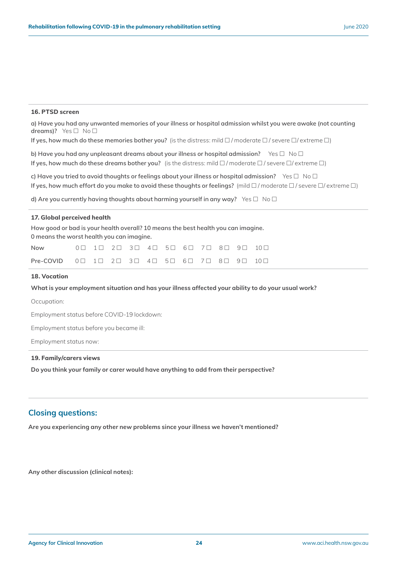#### **16. PTSD screen**

**a) Have you had any unwanted memories of your illness or hospital admission whilst you were awake (not counting dreams)?** Yes □ No □

**If yes, how much do these memories bother you?** (is the distress: mild  $\Box$  / moderate  $\Box$  / severe  $\Box$  / extreme  $\Box$ )

**b)** Have you had any unpleasant dreams about your illness or hospital admission? Yes  $\Box$  No  $\Box$ **If yes, how much do these dreams bother you?** (is the distress: mild  $\Box$  / moderate  $\Box$  / severe  $\Box$  / extreme  $\Box$ )

**c)** Have you tried to avoid thoughts or feelings about your illness or hospital admission? Yes □ No □ **If yes, how much effort do you make to avoid these thoughts or feelings?** (mild  $\Box$  / moderate  $\Box$  / severe  $\Box$ / extreme  $\Box$ )

**d)** Are you currently having thoughts about harming yourself in any way? Yes  $\Box$  No  $\Box$ 

#### **17. Global perceived health**

**How good or bad is your health overall? 10 means the best health you can imagine. 0 means the worst health you can imagine.**

| Now the control of the control of the control of the control of the control of the control of the control of the control of the control of the control of the control of the control of the control of the control of the cont |  |  |  |  |  |  |
|--------------------------------------------------------------------------------------------------------------------------------------------------------------------------------------------------------------------------------|--|--|--|--|--|--|
| <b>Pre-COVID</b> $0 \square$ $1 \square$ $2 \square$ $3 \square$ $4 \square$ $5 \square$ $6 \square$ $7 \square$ $8 \square$ $9 \square$ $10 \square$                                                                          |  |  |  |  |  |  |

#### **18. Vocation**

#### **What is your employment situation and has your illness affected your ability to do your usual work?**

Occupation:

Employment status before COVID-19 lockdown:

Employment status before you became ill:

Employment status now:

#### **19. Family/carers views**

**Do you think your family or carer would have anything to add from their perspective?** 

#### **Closing questions:**

**Are you experiencing any other new problems since your illness we haven't mentioned?**

**Any other discussion (clinical notes):**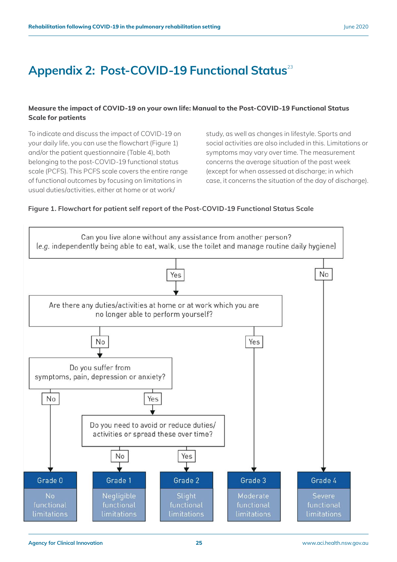### <span id="page-27-0"></span>Appendix 2: Post-COVID-19 Functional Status<sup>23</sup>

#### **Measure the impact of COVID-19 on your own life: Manual to the Post-COVID-19 Functional Status Scale for patients**

To indicate and discuss the impact of COVID-19 on your daily life, you can use the flowchart (Figure 1) and/or the patient questionnaire (Table 4), both belonging to the post-COVID-19 functional status scale (PCFS). This PCFS scale covers the entire range of functional outcomes by focusing on limitations in usual duties/activities, either at home or at work/

study, as well as changes in lifestyle. Sports and social activities are also included in this. Limitations or symptoms may vary over time. The measurement concerns the average situation of the past week (except for when assessed at discharge; in which case, it concerns the situation of the day of discharge).

#### **Figure 1. Flowchart for patient self report of the Post-COVID-19 Functional Status Scale**

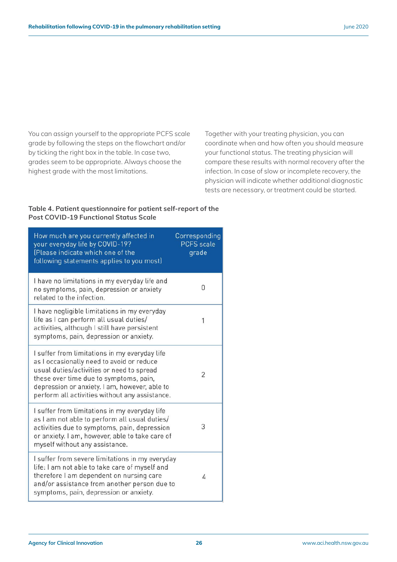You can assign yourself to the appropriate PCFS scale grade by following the steps on the flowchart and/or by ticking the right box in the table. In case two, grades seem to be appropriate. Always choose the highest grade with the most limitations.

Together with your treating physician, you can coordinate when and how often you should measure your functional status. The treating physician will compare these results with normal recovery after the infection. In case of slow or incomplete recovery, the physician will indicate whether additional diagnostic tests are necessary, or treatment could be started.

#### **Table 4. Patient questionnaire for patient self-report of the Post COVID-19 Functional Status Scale**

| How much are you currently affected in<br>your everyday life by COVID-19?<br>(Please indicate which one of the<br>following statements applies to you most)                                                                                                                          | Corresponding<br><b>PCFS</b> scale<br>grade |
|--------------------------------------------------------------------------------------------------------------------------------------------------------------------------------------------------------------------------------------------------------------------------------------|---------------------------------------------|
| I have no limitations in my everyday life and<br>no symptoms, pain, depression or anxiety<br>related to the infection.                                                                                                                                                               | N                                           |
| I have negligible limitations in my everyday<br>life as I can perform all usual duties/<br>activities, although I still have persistent<br>symptoms, pain, depression or anxiety.                                                                                                    |                                             |
| I suffer from limitations in my everyday life<br>as I occasionally need to avoid or reduce<br>usual duties/activities or need to spread<br>these over time due to symptoms, pain,<br>depression or anxiety. I am, however, able to<br>perform all activities without any assistance. | $\overline{2}$                              |
| I suffer from limitations in my everyday life<br>as I am not able to perform all usual duties/<br>activities due to symptoms, pain, depression<br>or anxiety. I am, however, able to take care of<br>myself without any assistance.                                                  | 3                                           |
| I suffer from severe limitations in my everyday<br>life: I am not able to take care of myself and<br>therefore I am dependent on nursing care<br>and/or assistance from another person due to<br>symptoms, pain, depression or anxiety.                                              | 4                                           |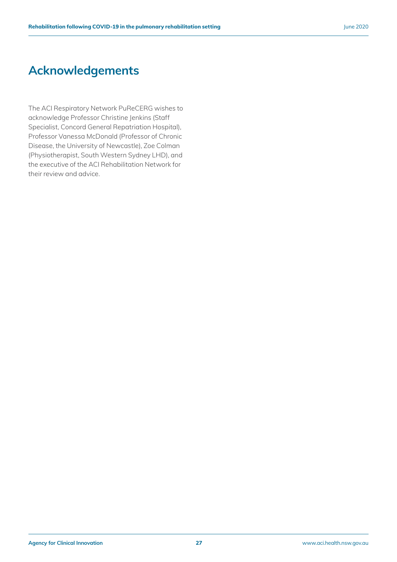### **Acknowledgements**

The ACI Respiratory Network PuReCERG wishes to acknowledge Professor Christine Jenkins (Staff Specialist, Concord General Repatriation Hospital), Professor Vanessa McDonald (Professor of Chronic Disease, the University of Newcastle), Zoe Colman (Physiotherapist, South Western Sydney LHD), and the executive of the ACI Rehabilitation Network for their review and advice.